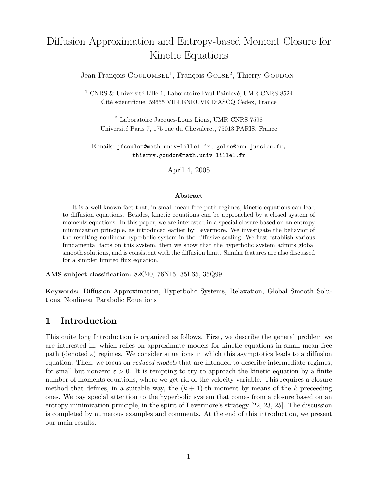# Diffusion Approximation and Entropy-based Moment Closure for Kinetic Equations

Jean-François COULOMBEL<sup>1</sup>, François GOLSE<sup>2</sup>, Thierry GOUDON<sup>1</sup>

 $^1$  CNRS & Université Lille 1, Laboratoire Paul Painlevé, UMR CNRS 8524 Cité scientifique, 59655 VILLENEUVE D'ASCQ Cedex, France

<sup>2</sup> Laboratoire Jacques-Louis Lions, UMR CNRS 7598 Universit´e Paris 7, 175 rue du Chevaleret, 75013 PARIS, France

E-mails: jfcoulom@math.univ-lille1.fr, golse@ann.jussieu.fr, thierry.goudon@math.univ-lille1.fr

April 4, 2005

#### Abstract

It is a well-known fact that, in small mean free path regimes, kinetic equations can lead to diffusion equations. Besides, kinetic equations can be approached by a closed system of moments equations. In this paper, we are interested in a special closure based on an entropy minimization principle, as introduced earlier by Levermore. We investigate the behavior of the resulting nonlinear hyperbolic system in the diffusive scaling. We first establish various fundamental facts on this system, then we show that the hyperbolic system admits global smooth solutions, and is consistent with the diffusion limit. Similar features are also discussed for a simpler limited flux equation.

AMS subject classification: 82C40, 76N15, 35L65, 35Q99

Keywords: Diffusion Approximation, Hyperbolic Systems, Relaxation, Global Smooth Solutions, Nonlinear Parabolic Equations

### 1 Introduction

This quite long Introduction is organized as follows. First, we describe the general problem we are interested in, which relies on approximate models for kinetic equations in small mean free path (denoted  $\varepsilon$ ) regimes. We consider situations in which this asymptotics leads to a diffusion equation. Then, we focus on *reduced models* that are intended to describe intermediate regimes, for small but nonzero  $\varepsilon > 0$ . It is tempting to try to approach the kinetic equation by a finite number of moments equations, where we get rid of the velocity variable. This requires a closure method that defines, in a suitable way, the  $(k + 1)$ -th moment by means of the k preceeding ones. We pay special attention to the hyperbolic system that comes from a closure based on an entropy minimization principle, in the spirit of Levermore's strategy [22, 23, 25]. The discussion is completed by numerous examples and comments. At the end of this introduction, we present our main results.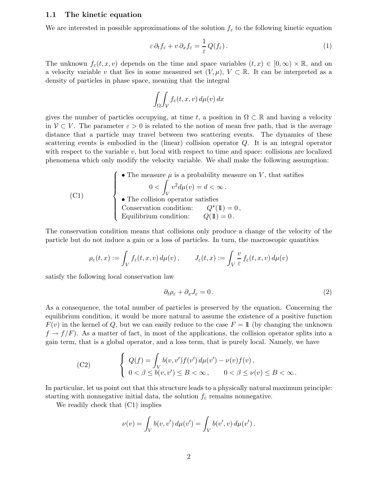### 1.1 The kinetic equation

We are interested in possible approximations of the solution  $f_{\varepsilon}$  to the following kinetic equation

$$
\varepsilon \, \partial_t f_\varepsilon + v \, \partial_x f_\varepsilon = \frac{1}{\varepsilon} \, Q(f_\varepsilon) \,. \tag{1}
$$

The unknown  $f_{\varepsilon}(t,x,v)$  depends on the time and space variables  $(t,x) \in [0,\infty) \times \mathbb{R}$ , and on a velocity variable v that lies in some measured set  $(V, \mu)$ ,  $V \subset \mathbb{R}$ . It can be interpreted as a density of particles in phase space, meaning that the integral

$$
\int_{\Omega} \int_{\mathcal{V}} f_{\varepsilon}(t, x, v) \, d\mu(v) \, dx
$$

gives the number of particles occupying, at time t, a position in  $\Omega \subset \mathbb{R}$  and having a velocity in  $V \subset V$ . The parameter  $\varepsilon > 0$  is related to the notion of mean free path, that is the average distance that a particle may travel between two scattering events. The dynamics of these scattering events is embodied in the (linear) collision operator Q. It is an integral operator with respect to the variable  $v$ , but local with respect to time and space: collisions are localized phenomena which only modify the velocity variable. We shall make the following assumption:

(C1)

\nThe measure 
$$
\mu
$$
 is a probability measure on  $V$ , that satisfies  $0 < \int_V v^2 d\mu(v) = d < \infty$ .

\nThe collision operator satisfies Conservation condition:  $Q^*(1) = 0$ , Equilibrium condition:  $Q(1) = 0$ .

The conservation condition means that collisions only produce a change of the velocity of the particle but do not induce a gain or a loss of particles. In turn, the macroscopic quantities

$$
\rho_{\varepsilon}(t,x) := \int_{V} f_{\varepsilon}(t,x,v) d\mu(v), \qquad J_{\varepsilon}(t,x) := \int_{V} \frac{v}{\varepsilon} f_{\varepsilon}(t,x,v) d\mu(v)
$$

satisfy the following local conservation law

$$
\partial_t \rho_\varepsilon + \partial_x J_\varepsilon = 0. \tag{2}
$$

As a consequence, the total number of particles is preserved by the equation. Concerning the equilibrium condition, it would be more natural to assume the existence of a positive function  $F(v)$  in the kernel of Q, but we can easily reduce to the case  $F = 1\!1$  (by changing the unknown  $f \rightarrow f/F$ ). As a matter of fact, in most of the applications, the collision operator splits into a gain term, that is a global operator, and a loss term, that is purely local. Namely, we have

(C2) 
$$
\begin{cases} Q(f) = \int_{V} b(v, v') f(v') d\mu(v') - \nu(v) f(v), \\ 0 < \beta \le b(v, v') \le B < \infty, \quad 0 < \beta \le \nu(v) \le B < \infty. \end{cases}
$$

In particular, let us point out that this structure leads to a physically natural maximum principle: starting with nonnegative initial data, the solution  $f_{\varepsilon}$  remains nonnegative.

We readily check that (C1) implies

$$
\nu(v) = \int_V b(v, v') d\mu(v') = \int_V b(v', v) d\mu(v').
$$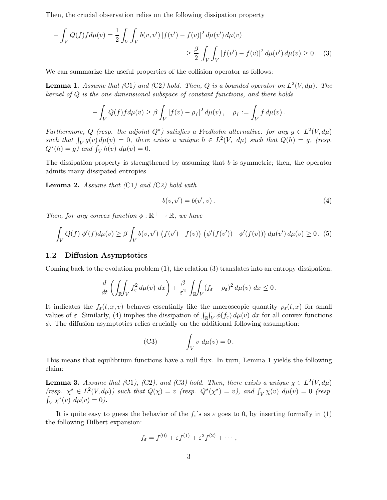Then, the crucial observation relies on the following dissipation property

$$
- \int_{V} Q(f) f d\mu(v) = \frac{1}{2} \int_{V} \int_{V} b(v, v') |f(v') - f(v)|^{2} d\mu(v') d\mu(v)
$$
  

$$
\geq \frac{\beta}{2} \int_{V} \int_{V} |f(v') - f(v)|^{2} d\mu(v') d\mu(v) \geq 0. \quad (3)
$$

We can summarize the useful properties of the collision operator as follows:

**Lemma 1.** Assume that (C1) and (C2) hold. Then, Q is a bounded operator on  $L^2(V, d\mu)$ . The kernel of  $Q$  is the one-dimensional subspace of constant functions, and there holds

$$
-\int_V Q(f)f d\mu(v) \geq \beta \int_V |f(v) - \rho_f|^2 d\mu(v), \quad \rho_f := \int_V f d\mu(v).
$$

Furthermore, Q (resp. the adjoint  $Q^*$ ) satisfies a Fredholm alternative: for any  $g \in L^2(V, d\mu)$ such that  $\int_V g(v) d\mu(v) = 0$ , there exists a unique  $h \in L^2(V, d\mu)$  such that  $Q(h) = g$ , (resp.  $Q^*(h) = g$ ) and  $\int_V h(v) d\mu(v) = 0$ .

The dissipation property is strengthened by assuming that  $b$  is symmetric; then, the operator admits many dissipated entropies.

**Lemma 2.** Assume that  $(Cl)$  and  $(C2)$  hold with

$$
b(v, v') = b(v', v).
$$
 (4)

Then, for any convex function  $\phi : \mathbb{R}^+ \to \mathbb{R}$ , we have

$$
- \int_{V} Q(f) \phi'(f) d\mu(v) \geq \beta \int_{V} b(v, v') \left( f(v') - f(v) \right) \left( \phi'(f(v')) - \phi'(f(v)) \right) d\mu(v') d\mu(v) \geq 0. \tag{5}
$$

### 1.2 Diffusion Asymptotics

Coming back to the evolution problem (1), the relation (3) translates into an entropy dissipation:

$$
\frac{d}{dt}\left(\iint_{\mathbb{R}}\!\int_V f_\varepsilon^2\,d\mu(v)\,dx\right) + \frac{\beta}{\varepsilon^2}\,\iint_{\mathbb{R}}\!\!\int_V (f_\varepsilon - \rho_\varepsilon)^2\,d\mu(v)\,dx \le 0\,.
$$

It indicates the  $f_{\varepsilon}(t,x,v)$  behaves essentially like the macroscopic quantity  $\rho_{\varepsilon}(t,x)$  for small values of  $\varepsilon$ . Similarly, (4) implies the dissipation of  $\int_{\mathbb{R}} \int_V \phi(f_\varepsilon) d\mu(v) dx$  for all convex functions  $\phi$ . The diffusion asymptotics relies crucially on the additional following assumption:

(C3) 
$$
\int_V v \ d\mu(v) = 0.
$$

This means that equilibrium functions have a null flux. In turn, Lemma 1 yields the following claim:

**Lemma 3.** Assume that (C1), (C2), and (C3) hold. Then, there exists a unique  $\chi \in L^2(V, d\mu)$ (resp.  $\chi^* \in L^2(V, d\mu)$ ) such that  $Q(\chi) = v$  (resp.  $Q^*(\chi^*) = v$ ), and  $\int_V \chi(v) d\mu(v) = 0$  (resp.  $\int_V \chi^*(v) \, d\mu(v) = 0$ .

It is quite easy to guess the behavior of the  $f_{\varepsilon}$ 's as  $\varepsilon$  goes to 0, by inserting formally in (1) the following Hilbert expansion:

$$
f_{\varepsilon}=f^{(0)}+\varepsilon f^{(1)}+\varepsilon^2 f^{(2)}+\cdots,
$$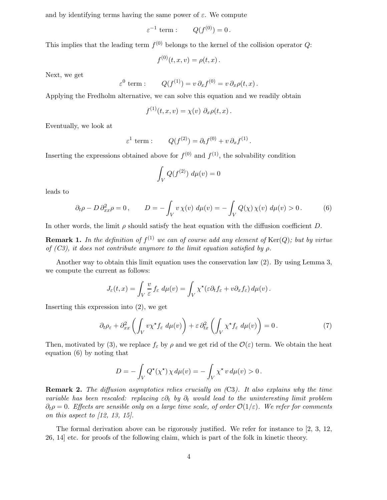and by identifying terms having the same power of  $\varepsilon$ . We compute

$$
\varepsilon^{-1} \text{ term} : \qquad Q(f^{(0)}) = 0 \, .
$$

This implies that the leading term  $f^{(0)}$  belongs to the kernel of the collision operator Q:

$$
f^{(0)}(t, x, v) = \rho(t, x) .
$$

Next, we get

$$
\varepsilon^0
$$
 term :  $Q(f^{(1)}) = v \partial_x f^{(0)} = v \partial_x \rho(t, x)$ .

Applying the Fredholm alternative, we can solve this equation and we readily obtain

$$
f^{(1)}(t,x,v) = \chi(v) \partial_x \rho(t,x).
$$

Eventually, we look at

$$
\varepsilon^1 \text{ term} : \qquad Q(f^{(2)}) = \partial_t f^{(0)} + v \, \partial_x f^{(1)}.
$$

Inserting the expressions obtained above for  $f^{(0)}$  and  $f^{(1)}$ , the solvability condition

$$
\int_V Q(f^{(2)})\ d\mu(v)=0
$$

leads to

$$
\partial_t \rho - D \, \partial_{xx}^2 \rho = 0 \,, \qquad D = -\int_V v \, \chi(v) \, \, d\mu(v) = -\int_V Q(\chi) \, \chi(v) \, \, d\mu(v) > 0 \,. \tag{6}
$$

In other words, the limit  $\rho$  should satisfy the heat equation with the diffusion coefficient D.

**Remark 1.** In the definition of  $f^{(1)}$  we can of course add any element of  $\text{Ker}(Q)$ ; but by virtue of  $(C3)$ , it does not contribute anymore to the limit equation satisfied by ρ.

Another way to obtain this limit equation uses the conservation law (2). By using Lemma 3, we compute the current as follows:

$$
J_{\varepsilon}(t,x) = \int_{V} \frac{v}{\varepsilon} f_{\varepsilon} d\mu(v) = \int_{V} \chi^{\star}(\varepsilon \partial_t f_{\varepsilon} + v \partial_x f_{\varepsilon}) d\mu(v).
$$

Inserting this expression into (2), we get

$$
\partial_t \rho_{\varepsilon} + \partial_{xx}^2 \left( \int_V v \chi^{\star} f_{\varepsilon} d\mu(v) \right) + \varepsilon \partial_{tx}^2 \left( \int_V \chi^{\star} f_{\varepsilon} d\mu(v) \right) = 0. \tag{7}
$$

Then, motivated by (3), we replace  $f_{\varepsilon}$  by  $\rho$  and we get rid of the  $\mathcal{O}(\varepsilon)$  term. We obtain the heat equation (6) by noting that

$$
D = -\int_{V} Q^{\star}(\chi^{\star}) \chi d\mu(v) = -\int_{V} \chi^{\star} v d\mu(v) > 0.
$$

**Remark 2.** The diffusion asymptotics relies crucially on  $(C3)$ . It also explains why the time variable has been rescaled: replacing  $\varepsilon \partial_t$  by  $\partial_t$  would lead to the uninteresting limit problem  $\partial_t \rho = 0$ . Effects are sensible only on a large time scale, of order  $\mathcal{O}(1/\varepsilon)$ . We refer for comments on this aspect to  $(12, 13, 15)$ .

The formal derivation above can be rigorously justified. We refer for instance to [2, 3, 12, 26, 14] etc. for proofs of the following claim, which is part of the folk in kinetic theory.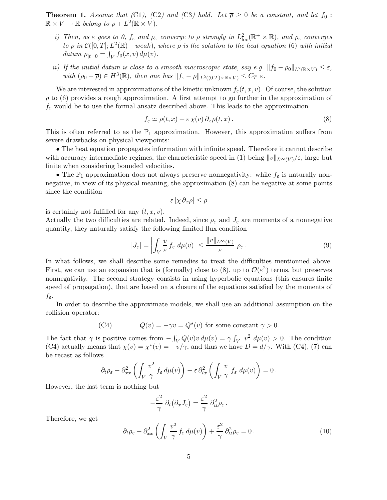**Theorem 1.** Assume that (C1), (C2) and (C3) hold. Let  $\overline{\rho} \ge 0$  be a constant, and let  $f_0$ :  $\mathbb{R} \times V \to \mathbb{R}$  belong to  $\overline{\rho} + L^2(\mathbb{R} \times V)$ .

- i) Then, as  $\varepsilon$  goes to 0,  $f_{\varepsilon}$  and  $\rho_{\varepsilon}$  converge to  $\rho$  strongly in  $L_{\text{loc}}^2(\mathbb{R}^+ \times \mathbb{R})$ , and  $\rho_{\varepsilon}$  converges to  $\rho$  in  $\mathcal{C}([0,T]; L^2(\mathbb{R})$  – weak), where  $\rho$  is the solution to the heat equation (6) with initial datum  $\rho_{|t=0} = \int_V f_0(x, v) d\mu(v)$ .
- ii) If the initial datum is close to a smooth macroscopic state, say e.g.  $||f_0 \rho_0||_{L^2(\mathbb{R} \times V)} \leq \varepsilon$ , with  $(\rho_0 - \overline{\rho}) \in H^3(\mathbb{R})$ , then one has  $||f_{\varepsilon} - \rho||_{L^2((0,T) \times \mathbb{R} \times V)} \leq C_T \varepsilon$ .

We are interested in approximations of the kinetic unknown  $f_{\varepsilon}(t,x,v)$ . Of course, the solution  $\rho$  to (6) provides a rough approximation. A first attempt to go further in the approximation of  $f_{\varepsilon}$  would be to use the formal ansatz described above. This leads to the approximation

$$
f_{\varepsilon} \simeq \rho(t, x) + \varepsilon \chi(v) \, \partial_x \rho(t, x) \,. \tag{8}
$$

This is often referred to as the  $\mathbb{P}_1$  approximation. However, this approximation suffers from severe drawbacks on physical viewpoints:

• The heat equation propagates information with infinite speed. Therefore it cannot describe with accuracy intermediate regimes, the characteristic speed in (1) being  $||v||_{L^{\infty}(V)}/\varepsilon$ , large but finite when considering bounded velocities.

• The  $\mathbb{P}_1$  approximation does not always preserve nonnegativity: while  $f_{\varepsilon}$  is naturally nonnegative, in view of its physical meaning, the approximation (8) can be negative at some points since the condition

$$
\varepsilon \left| \chi \partial_x \rho \right| \le \rho
$$

is certainly not fulfilled for any  $(t, x, v)$ .

Actually the two difficulties are related. Indeed, since  $\rho_{\varepsilon}$  and  $J_{\varepsilon}$  are moments of a nonnegative quantity, they naturally satisfy the following limited flux condition

$$
|J_{\varepsilon}| = \left| \int_{V} \frac{v}{\varepsilon} f_{\varepsilon} d\mu(v) \right| \leq \frac{\|v\|_{L^{\infty}(V)}}{\varepsilon} \rho_{\varepsilon}.
$$
 (9)

In what follows, we shall describe some remedies to treat the difficulties mentionned above. First, we can use an expansion that is (formally) close to (8), up to  $\mathcal{O}(\varepsilon^2)$  terms, but preserves nonnegativity. The second strategy consists in using hyperbolic equations (this ensures finite speed of propagation), that are based on a closure of the equations satisfied by the moments of  $f_{\varepsilon}$ .

In order to describe the approximate models, we shall use an additional assumption on the collision operator:

(C4) 
$$
Q(v) = -\gamma v = Q^*(v)
$$
 for some constant  $\gamma > 0$ .

The fact that  $\gamma$  is positive comes from  $-\int_V Q(v)v d\mu(v) = \gamma \int_V v^2 d\mu(v) > 0$ . The condition (C4) actually means that  $\chi(v) = \chi^*(v) = -v/\gamma$ , and thus we have  $D = d/\gamma$ . With (C4), (7) can be recast as follows

$$
\partial_t \rho_{\varepsilon} - \partial_{xx}^2 \left( \int_V \frac{v^2}{\gamma} f_{\varepsilon} d\mu(v) \right) - \varepsilon \partial_{tx}^2 \left( \int_V \frac{v}{\gamma} f_{\varepsilon} d\mu(v) \right) = 0.
$$

However, the last term is nothing but

$$
-\frac{\varepsilon^2}{\gamma}\,\partial_t\big(\partial_x J_\varepsilon\big)=\frac{\varepsilon^2}{\gamma}\,\partial^2_{tt}\rho_\varepsilon\,.
$$

Therefore, we get

$$
\partial_t \rho_{\varepsilon} - \partial_{xx}^2 \left( \int_V \frac{v^2}{\gamma} f_{\varepsilon} d\mu(v) \right) + \frac{\varepsilon^2}{\gamma} \partial_{tt}^2 \rho_{\varepsilon} = 0. \tag{10}
$$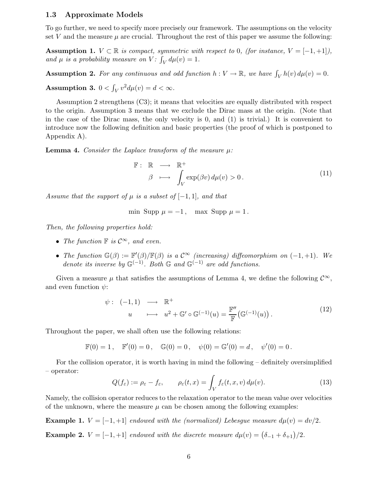#### 1.3 Approximate Models

To go further, we need to specify more precisely our framework. The assumptions on the velocity set V and the measure  $\mu$  are crucial. Throughout the rest of this paper we assume the following:

**Assumption 1.**  $V \subset \mathbb{R}$  is compact, symmetric with respect to 0, (for instance,  $V = [-1, +1]$ ), and  $\mu$  is a probability measure on V:  $\int_V d\mu(v) = 1$ .

**Assumption 2.** For any continuous and odd function  $h: V \to \mathbb{R}$ , we have  $\int_V h(v) d\mu(v) = 0$ .

Assumption 3.  $0 < \int_V v^2 d\mu(v) = d < \infty$ .

Assumption 2 strengthens (C3); it means that velocities are equally distributed with respect to the origin. Assumption 3 means that we exclude the Dirac mass at the origin. (Note that in the case of the Dirac mass, the only velocity is 0, and (1) is trivial.) It is convenient to introduce now the following definition and basic properties (the proof of which is postponed to Appendix A).

**Lemma 4.** Consider the Laplace transform of the measure  $\mu$ :

$$
\mathbb{F}: \mathbb{R} \longrightarrow \mathbb{R}^+ \n\beta \longmapsto \int_V \exp(\beta v) d\mu(v) > 0.
$$
\n(11)

Assume that the support of  $\mu$  is a subset of  $[-1, 1]$ , and that

$$
\min \text{ Supp } \mu = -1, \quad \max \text{ Supp } \mu = 1.
$$

Then, the following properties hold:

- The function  $\mathbb F$  is  $\mathcal{C}^\infty$ , and even.
- The function  $\mathbb{G}(\beta) := \mathbb{F}'(\beta)/\mathbb{F}(\beta)$  is a  $\mathcal{C}^{\infty}$  (increasing) diffeomorphism on  $(-1, +1)$ . We denote its inverse by  $\mathbb{G}^{(-1)}$ . Both  $\mathbb{G}$  and  $\mathbb{G}^{(-1)}$  are odd functions.

Given a measure  $\mu$  that satisfies the assumptions of Lemma 4, we define the following  $\mathcal{C}^{\infty}$ , and even function  $\psi$ :

$$
\psi: (-1,1) \longrightarrow \mathbb{R}^+ \n u \longrightarrow u^2 + \mathbb{G}' \circ \mathbb{G}^{(-1)}(u) = \frac{\mathbb{F}''}{\mathbb{F}} (\mathbb{G}^{(-1)}(u)).
$$
\n(12)

Throughout the paper, we shall often use the following relations:

$$
\mathbb{F}(0) = 1, \quad \mathbb{F}'(0) = 0, \quad \mathbb{G}(0) = 0, \quad \psi(0) = \mathbb{G}'(0) = d, \quad \psi'(0) = 0.
$$

For the collision operator, it is worth having in mind the following – definitely oversimplified – operator:

$$
Q(f_{\varepsilon}) := \rho_{\varepsilon} - f_{\varepsilon}, \qquad \rho_{\varepsilon}(t, x) = \int_{V} f_{\varepsilon}(t, x, v) d\mu(v).
$$
 (13)

Namely, the collision operator reduces to the relaxation operator to the mean value over velocities of the unknown, where the measure  $\mu$  can be chosen among the following examples:

**Example 1.**  $V = [-1, +1]$  endowed with the (normalized) Lebesque measure  $d\mu(v) = dv/2$ . **Example 2.**  $V = [-1, +1]$  endowed with the discrete measure  $d\mu(v) = (\delta_{-1} + \delta_{+1})/2$ .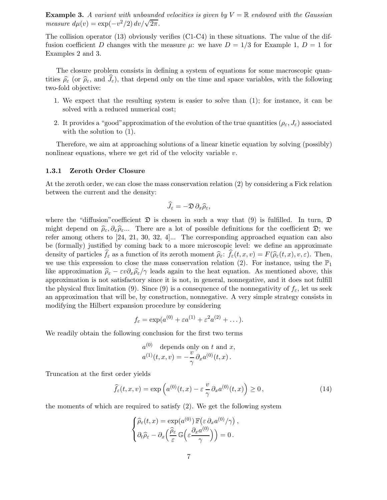**Example 3.** A variant with unbounded velocities is given by  $V = \mathbb{R}$  endowed with the Gaussian measure  $d\mu(v) = \exp(-v^2/2) dv/\sqrt{2\pi}$ .

The collision operator (13) obviously verifies (C1-C4) in these situations. The value of the diffusion coefficient D changes with the measure  $\mu$ : we have  $D = 1/3$  for Example 1,  $D = 1$  for Examples 2 and 3.

The closure problem consists in defining a system of equations for some macroscopic quantities  $\hat{\rho}_{\varepsilon}$  (or  $\hat{\rho}_{\varepsilon}$ , and  $J_{\varepsilon}$ ), that depend only on the time and space variables, with the following two-fold objective:

- 1. We expect that the resulting system is easier to solve than (1); for instance, it can be solved with a reduced numerical cost;
- 2. It provides a "good" approximation of the evolution of the true quantities ( $\rho_{\varepsilon},J_{\varepsilon}$ ) associated with the solution to  $(1)$ .

Therefore, we aim at approaching solutions of a linear kinetic equation by solving (possibly) nonlinear equations, where we get rid of the velocity variable  $v$ .

### 1.3.1 Zeroth Order Closure

At the zeroth order, we can close the mass conservation relation (2) by considering a Fick relation between the current and the density:

$$
\widehat{J}_{\varepsilon}=-\mathfrak{D}\,\partial_x\widehat{\rho}_{\varepsilon},
$$

where the "diffusion" coefficient  $\mathfrak D$  is chosen in such a way that (9) is fulfilled. In turn,  $\mathfrak D$ might depend on  $\hat{\rho}_{\varepsilon},\partial_x\hat{\rho}_{\varepsilon}$ ... There are a lot of possible definitions for the coefficient  $\mathfrak{D}$ ; we refer among others to [24, 21, 30, 32, 4]... The corresponding approached equation can also be (formally) justified by coming back to a more microscopic level: we define an approximate density of particles  $f_{\varepsilon}$  as a function of its zeroth moment  $\widehat{\rho}_{\varepsilon}$ :  $f_{\varepsilon}(t,x,v) = F(\widehat{\rho}_{\varepsilon}(t,x),v,\varepsilon)$ . Then, we use this expression to close the mass conservation relation (2). For instance, using the  $\mathbb{P}_1$ like approximation  $\hat{\rho}_{\varepsilon} - \varepsilon v \partial_x \hat{\rho}_{\varepsilon}/\gamma$  leads again to the heat equation. As mentioned above, this approximation is not satisfactory since it is not, in general, nonnegative, and it does not fulfill the physical flux limitation (9). Since (9) is a consequence of the nonnegativity of  $f_{\epsilon}$ , let us seek an approximation that will be, by construction, nonnegative. A very simple strategy consists in modifying the Hilbert expansion procedure by considering

$$
f_{\varepsilon} = \exp(a^{(0)} + \varepsilon a^{(1)} + \varepsilon^2 a^{(2)} + \dots).
$$

We readily obtain the following conclusion for the first two terms

$$
a^{(0)}
$$
 depends only on t and x,  

$$
a^{(1)}(t,x,v) = -\frac{v}{\gamma} \partial_x a^{(0)}(t,x).
$$

Truncation at the first order yields

$$
\widehat{f}_{\varepsilon}(t,x,v) = \exp\left(a^{(0)}(t,x) - \varepsilon \frac{v}{\gamma} \partial_x a^{(0)}(t,x)\right) \ge 0,
$$
\n(14)

the moments of which are required to satisfy (2). We get the following system

$$
\begin{cases}\n\widehat{\rho}_{\varepsilon}(t,x) = \exp(a^{(0)}) \mathbb{F}(\varepsilon \partial_x a^{(0)}/\gamma), \\
\partial_t \widehat{\rho}_{\varepsilon} - \partial_x \left( \frac{\widehat{\rho}_{\varepsilon}}{\varepsilon} \mathbb{G} \left( \varepsilon \frac{\partial_x a^{(0)}}{\gamma} \right) \right) = 0.\n\end{cases}
$$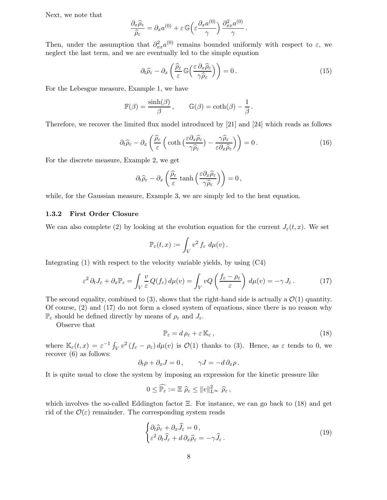Next, we note that

$$
\frac{\partial_x \widehat{\rho}_{\varepsilon}}{\widehat{\rho}_{\varepsilon}} = \partial_x a^{(0)} + \varepsilon \mathbb{G}\left(\varepsilon \frac{\partial_x a^{(0)}}{\gamma}\right) \frac{\partial_{xx}^2 a^{(0)}}{\gamma}.
$$

Then, under the assumption that  $\partial_{xx}^2 a^{(0)}$  remains bounded uniformly with respect to  $\varepsilon$ , we neglect the last term, and we are eventually led to the simple equation

$$
\partial_t \widehat{\rho}_{\varepsilon} - \partial_x \left( \frac{\widehat{\rho}_{\varepsilon}}{\varepsilon} \mathbb{G} \left( \frac{\varepsilon \partial_x \widehat{\rho}_{\varepsilon}}{\gamma \widehat{\rho}_{\varepsilon}} \right) \right) = 0. \tag{15}
$$

For the Lebesgue measure, Example 1, we have

$$
\mathbb{F}(\beta) = \frac{\sinh(\beta)}{\beta}, \qquad \mathbb{G}(\beta) = \coth(\beta) - \frac{1}{\beta}.
$$

Therefore, we recover the limited flux model introduced by [21] and [24] which reads as follows

$$
\partial_t \widehat{\rho}_{\varepsilon} - \partial_x \left( \frac{\widehat{\rho}_{\varepsilon}}{\varepsilon} \left( \coth \left( \frac{\varepsilon \partial_x \widehat{\rho}_{\varepsilon}}{\gamma \widehat{\rho}_{\varepsilon}} \right) - \frac{\gamma \widehat{\rho}_{\varepsilon}}{\varepsilon \partial_x \widehat{\rho}_{\varepsilon}} \right) \right) = 0. \tag{16}
$$

For the discrete measure, Example 2, we get

$$
\partial_t \widehat{\rho}_{\varepsilon} - \partial_x \left( \frac{\widehat{\rho}_{\varepsilon}}{\varepsilon} \tanh \left( \frac{\varepsilon \partial_x \widehat{\rho}_{\varepsilon}}{\gamma \widehat{\rho}_{\varepsilon}} \right) \right) = 0,
$$

while, for the Gaussian measure, Example 3, we are simply led to the heat equation.

#### 1.3.2 First Order Closure

We can also complete (2) by looking at the evolution equation for the current  $J_{\varepsilon}(t,x)$ . We set

$$
\mathbb{P}_{\varepsilon}(t,x):=\int_V v^2\,f_{\varepsilon}\,\,d\mu(v)\,.
$$

Integrating  $(1)$  with respect to the velocity variable yields, by using  $(C4)$ 

$$
\varepsilon^2 \partial_t J_\varepsilon + \partial_x \mathbb{P}_\varepsilon = \int_V \frac{v}{\varepsilon} Q(f_\varepsilon) \, d\mu(v) = \int_V v Q \left( \frac{f_\varepsilon - \rho_\varepsilon}{\varepsilon} \right) \, d\mu(v) = -\gamma \, J_\varepsilon \,. \tag{17}
$$

The second equality, combined to (3), shows that the right-hand side is actually a  $\mathcal{O}(1)$  quantity. Of course, (2) and (17) do not form a closed system of equations, since there is no reason why  $\mathbb{P}_{\varepsilon}$  should be defined directly by means of  $\rho_{\varepsilon}$  and  $J_{\varepsilon}$ .

Observe that

$$
\mathbb{P}_{\varepsilon} = d \rho_{\varepsilon} + \varepsilon \, \mathbb{K}_{\varepsilon} \,, \tag{18}
$$

where  $\mathbb{K}_{\varepsilon}(t,x) = \varepsilon^{-1} \int_V v^2 (f_{\varepsilon} - \rho_{\varepsilon}) d\mu(v)$  is  $\mathcal{O}(1)$  thanks to (3). Hence, as  $\varepsilon$  tends to 0, we recover (6) as follows:

$$
\partial_t \rho + \partial_x J = 0, \qquad \gamma J = -d \partial_x \rho.
$$

It is quite usual to close the system by imposing an expression for the kinetic pressure like

$$
0 \leq \widehat{\mathbb{P}_{\varepsilon}} := \Xi \widehat{\rho}_{\varepsilon} \leq ||v||_{L^{\infty}}^2 \widehat{\rho}_{\varepsilon},
$$

which involves the so-called Eddington factor  $\Xi$ . For instance, we can go back to (18) and get rid of the  $\mathcal{O}(\varepsilon)$  remainder. The corresponding system reads

$$
\begin{cases} \partial_t \widehat{\rho}_{\varepsilon} + \partial_x \widehat{J}_{\varepsilon} = 0, \\ \varepsilon^2 \partial_t \widehat{J}_{\varepsilon} + d \partial_x \widehat{\rho}_{\varepsilon} = -\gamma \widehat{J}_{\varepsilon} . \end{cases} \tag{19}
$$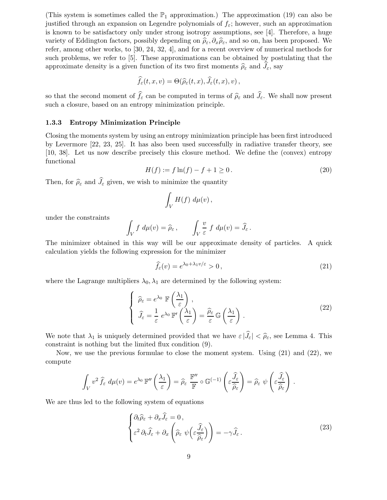(This system is sometimes called the  $\mathbb{P}_1$  approximation.) The approximation (19) can also be justified through an expansion on Legendre polynomials of  $f_{\varepsilon}$ ; however, such an approximation is known to be satisfactory only under strong isotropy assumptions, see [4]. Therefore, a huge variety of Eddington factors, possibly depending on  $\hat{\rho}_{\varepsilon},\partial_x\hat{\rho}_{\varepsilon}$ , and so on, has been proposed. We refer, among other works, to [30, 24, 32, 4], and for a recent overview of numerical methods for such problems, we refer to [5]. These approximations can be obtained by postulating that the approximate density is a given function of its two first moments  $\hat{\rho}_{\varepsilon}$  and  $J_{\varepsilon}$ , say

$$
\widehat{f}_{\varepsilon}(t,x,v)=\Theta(\widehat{\rho}_{\varepsilon}(t,x),\widehat{J}_{\varepsilon}(t,x),v)\,,
$$

so that the second moment of  $f_{\varepsilon}$  can be computed in terms of  $\hat{\rho}_{\varepsilon}$  and  $J_{\varepsilon}$ . We shall now present such a closure, based on an entropy minimization principle.

#### 1.3.3 Entropy Minimization Principle

Closing the moments system by using an entropy minimization principle has been first introduced by Levermore [22, 23, 25]. It has also been used successfully in radiative transfer theory, see [10, 38]. Let us now describe precisely this closure method. We define the (convex) entropy functional

$$
H(f) := f \ln(f) - f + 1 \ge 0.
$$
\n(20)

Then, for  $\hat{\rho}_{\varepsilon}$  and  $\hat{J}_{\varepsilon}$  given, we wish to minimize the quantity

$$
\int_V H(f) \ d\mu(v) \,,
$$

under the constraints

$$
\int_V f \, d\mu(v) = \widehat{\rho}_{\varepsilon} \, , \qquad \int_V \frac{v}{\varepsilon} \, f \, d\mu(v) = \widehat{J}_{\varepsilon} \, .
$$

The minimizer obtained in this way will be our approximate density of particles. A quick calculation yields the following expression for the minimizer

$$
\widehat{f}_{\varepsilon}(v) = e^{\lambda_0 + \lambda_1 v/\varepsilon} > 0, \qquad (21)
$$

where the Lagrange multipliers  $\lambda_0, \lambda_1$  are determined by the following system:

$$
\begin{cases}\n\widehat{\rho}_{\varepsilon} = e^{\lambda_0} \mathbb{F}\left(\frac{\lambda_1}{\varepsilon}\right), \\
\widehat{J}_{\varepsilon} = \frac{1}{\varepsilon} e^{\lambda_0} \mathbb{F}'\left(\frac{\lambda_1}{\varepsilon}\right) = \frac{\widehat{\rho}_{\varepsilon}}{\varepsilon} \mathbb{G}\left(\frac{\lambda_1}{\varepsilon}\right).\n\end{cases}
$$
\n(22)

We note that  $\lambda_1$  is uniquely determined provided that we have  $\varepsilon |\widehat{J}_\varepsilon| < \widehat{\rho}_\varepsilon$ , see Lemma 4. This constraint is nothing but the limited flux condition (9).

Now, we use the previous formulae to close the moment system. Using (21) and (22), we compute

$$
\int_{V} v^{2} \hat{f}_{\varepsilon} d\mu(v) = e^{\lambda_{0}} \mathbb{F}''\left(\frac{\lambda_{1}}{\varepsilon}\right) = \widehat{\rho}_{\varepsilon} \frac{\mathbb{F}''}{\mathbb{F}} \circ \mathbb{G}^{(-1)}\left(\varepsilon \frac{\widehat{J}_{\varepsilon}}{\widehat{\rho}_{\varepsilon}}\right) = \widehat{\rho}_{\varepsilon} \psi\left(\varepsilon \frac{\widehat{J}_{\varepsilon}}{\widehat{\rho}_{\varepsilon}}\right).
$$

We are thus led to the following system of equations

$$
\begin{cases} \partial_t \widehat{\rho}_{\varepsilon} + \partial_x \widehat{J}_{\varepsilon} = 0, \\ \varepsilon^2 \partial_t \widehat{J}_{\varepsilon} + \partial_x \left( \widehat{\rho}_{\varepsilon} \psi \left( \varepsilon \frac{\widehat{J}_{\varepsilon}}{\widehat{\rho}_{\varepsilon}} \right) \right) = -\gamma \widehat{J}_{\varepsilon} \,. \end{cases} \tag{23}
$$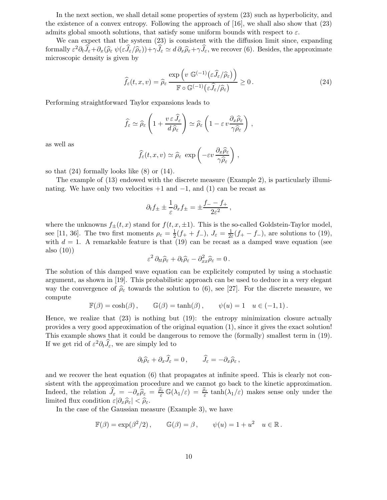In the next section, we shall detail some properties of system (23) such as hyperbolicity, and the existence of a convex entropy. Following the approach of [16], we shall also show that (23) admits global smooth solutions, that satisfy some uniform bounds with respect to  $\varepsilon$ .

We can expect that the system (23) is consistent with the diffusion limit since, expanding formally  $\varepsilon^2 \partial_t \hat{J}_\varepsilon + \partial_x(\widehat{\rho}_{\varepsilon} \psi(\varepsilon \hat{J}_{\varepsilon}/\widehat{\rho}_{\varepsilon})) + \gamma \hat{J}_{\varepsilon} \simeq d \partial_x \widehat{\rho}_{\varepsilon} + \gamma \hat{J}_{\varepsilon}$ , we recover (6). Besides, the approximate microscopic density is given by

$$
\widehat{f}_{\varepsilon}(t,x,v) = \widehat{\rho}_{\varepsilon} \frac{\exp\left(v \mathbb{G}^{(-1)}\left(\varepsilon \widehat{J}_{\varepsilon}/\widehat{\rho}_{\varepsilon}\right)\right)}{\mathbb{F}\circ\mathbb{G}^{(-1)}\left(\varepsilon \widehat{J}_{\varepsilon}/\widehat{\rho}_{\varepsilon}\right)} \ge 0.
$$
\n(24)

Performing straightforward Taylor expansions leads to

$$
\widehat{f}_{\varepsilon} \simeq \widehat{\rho}_{\varepsilon} \left( 1 + \frac{v \, \varepsilon \, \widehat{J}_{\varepsilon}}{d \, \widehat{\rho}_{\varepsilon}} \right) \simeq \widehat{\rho}_{\varepsilon} \left( 1 - \varepsilon \, v \frac{\partial_x \widehat{\rho}_{\varepsilon}}{\gamma \widehat{\rho}_{\varepsilon}} \right) \,,
$$

as well as

$$
\widehat{f}_{\varepsilon}(t, x, v) \simeq \widehat{\rho}_{\varepsilon} \exp \left(-\varepsilon v \frac{\partial_x \widehat{\rho}_{\varepsilon}}{\gamma \widehat{\rho}_{\varepsilon}}\right),
$$

so that (24) formally looks like (8) or (14).

The example of (13) endowed with the discrete measure (Example 2), is particularly illuminating. We have only two velocities  $+1$  and  $-1$ , and  $(1)$  can be recast as

$$
\partial_t f_{\pm} \pm \frac{1}{\varepsilon} \partial_x f_{\pm} = \pm \frac{f_- - f_+}{2\varepsilon^2} \,,
$$

where the unknowns  $f_{\pm}(t,x)$  stand for  $f(t,x,\pm 1)$ . This is the so-called Goldstein-Taylor model, see [11, 36]. The two first moments  $\rho_{\varepsilon} = \frac{1}{2}$  $\frac{1}{2}(f_+ + f_-),\ J_{\varepsilon} = \frac{1}{2\varepsilon}$  $\frac{1}{2\varepsilon}(f_+ - f_-)$ , are solutions to (19), with  $d = 1$ . A remarkable feature is that (19) can be recast as a damped wave equation (see also (10))

$$
\varepsilon^2 \,\partial_{tt}\widehat{\rho}_{\varepsilon} + \partial_t \widehat{\rho}_{\varepsilon} - \partial_{xx}^2 \widehat{\rho}_{\varepsilon} = 0\,.
$$

The solution of this damped wave equation can be explicitely computed by using a stochastic argument, as shown in [19]. This probabilistic approach can be used to deduce in a very elegant way the convergence of  $\hat{\rho}_{\varepsilon}$  towards the solution to (6), see [27]. For the discrete measure, we compute

$$
\mathbb{F}(\beta) = \cosh(\beta) , \qquad \mathbb{G}(\beta) = \tanh(\beta) , \qquad \psi(u) = 1 \quad u \in (-1, 1) .
$$

Hence, we realize that (23) is nothing but (19): the entropy minimization closure actually provides a very good approximation of the original equation (1), since it gives the exact solution! This example shows that it could be dangerous to remove the (formally) smallest term in (19). If we get rid of  $\varepsilon^2 \partial_t \hat{J}_\varepsilon$ , we are simply led to

$$
\partial_t \widehat{\rho}_{\varepsilon} + \partial_x \widehat{J}_{\varepsilon} = 0, \qquad \widehat{J}_{\varepsilon} = -\partial_x \widehat{\rho}_{\varepsilon} \,,
$$

and we recover the heat equation (6) that propagates at infinite speed. This is clearly not consistent with the approximation procedure and we cannot go back to the kinetic approximation. Indeed, the relation  $\hat{J}_{\varepsilon} = -\partial_x \hat{\rho}_{\varepsilon} = \frac{\hat{\rho}_{\varepsilon}}{\varepsilon} \mathbb{G}(\lambda_1/\varepsilon) = \frac{\hat{\rho}_{\varepsilon}}{\varepsilon} \tanh(\lambda_1/\varepsilon)$  makes sense only under the limited flux condition  $\varepsilon|\partial_x\hat{\rho}_{\varepsilon}| < \hat{\rho}_{\varepsilon}$ .

In the case of the Gaussian measure (Example 3), we have

$$
\mathbb{F}(\beta) = \exp(\beta^2/2), \qquad \mathbb{G}(\beta) = \beta, \qquad \psi(u) = 1 + u^2 \quad u \in \mathbb{R}.
$$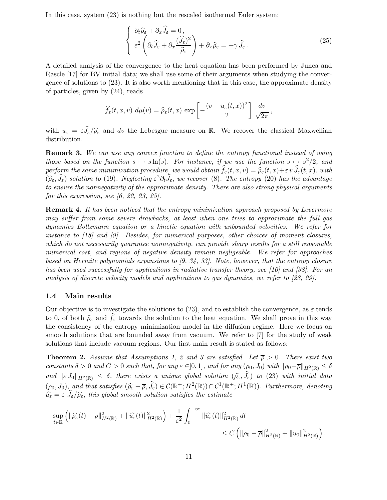In this case, system (23) is nothing but the rescaled isothermal Euler system:

$$
\begin{cases}\n\partial_t \widehat{\rho}_{\varepsilon} + \partial_x \widehat{J}_{\varepsilon} = 0, \\
\varepsilon^2 \left( \partial_t \widehat{J}_{\varepsilon} + \partial_x \frac{(\widehat{J}_{\varepsilon})^2}{\widehat{\rho}_{\varepsilon}} \right) + \partial_x \widehat{\rho}_{\varepsilon} = -\gamma \widehat{J}_{\varepsilon}.\n\end{cases}
$$
\n(25)

A detailed analysis of the convergence to the heat equation has been performed by Junca and Rascle [17] for BV initial data; we shall use some of their arguments when studying the convergence of solutions to (23). It is also worth mentioning that in this case, the approximate density of particles, given by (24), reads

$$
\widehat{f}_{\varepsilon}(t,x,v) d\mu(v) = \widehat{\rho}_{\varepsilon}(t,x) \exp\left[-\frac{(v-u_{\varepsilon}(t,x))^2}{2}\right] \frac{dv}{\sqrt{2\pi}},
$$

with  $u_{\varepsilon} = \varepsilon \widehat{J}_{\varepsilon}/\widehat{\rho}_{\varepsilon}$  and dv the Lebesgue measure on R. We recover the classical Maxwellian distribution.

**Remark 3.** We can use any convex function to define the entropy functional instead of using those based on the function  $s \mapsto s \ln(s)$ . For instance, if we use the function  $s \mapsto s^2/2$ , and perform the same minimization procedure, we would obtain  $f_{\varepsilon}(t,x,v) = \widehat{\rho}_{\varepsilon}(t,x)+\varepsilon v J_{\varepsilon}(t,x)$ , with  $(\widehat{\rho}_{\varepsilon}, \widehat{J}_{\varepsilon})$  solution to (19). Neglecting  $\varepsilon^2 \partial_t \widehat{J}_{\varepsilon}$ , we recover (8). The entropy (20) has the advantage to ensure the nonnegativity of the approximate density. There are also strong physical arguments for this expression, see  $(6, 22, 23, 25)$ .

**Remark 4.** It has been noticed that the entropy minimization approach proposed by Levermore may suffer from some severe drawbacks, at least when one tries to approximate the full gas dynamics Boltzmann equation or a kinetic equation with unbounded velocities. We refer for instance to [18] and [9]. Besides, for numerical purposes, other choices of moment closures, which do not necessarily guarantee nonnegativity, can provide sharp results for a still reasonable numerical cost, and regions of negative density remain negligeable. We refer for approaches based on Hermite polynomials expansions to [9, 34, 33]. Note, however, that the entropy closure has been used successfully for applications in radiative transfer theory, see [10] and [38]. For an analysis of discrete velocity models and applications to gas dynamics, we refer to [28, 29].

#### 1.4 Main results

Our objective is to investigate the solutions to  $(23)$ , and to establish the convergence, as  $\varepsilon$  tends to 0, of both  $\hat{\rho}_{\varepsilon}$  and  $f_{\varepsilon}$  towards the solution to the heat equation. We shall prove in this way the consistency of the entropy minimization model in the diffusion regime. Here we focus on smooth solutions that are bounded away from vacuum. We refer to [7] for the study of weak solutions that include vacuum regions. Our first main result is stated as follows:

**Theorem 2.** Assume that Assumptions 1, 2 and 3 are satisfied. Let  $\overline{p} > 0$ . There exist two constants  $\delta > 0$  and  $C > 0$  such that, for any  $\varepsilon \in ]0,1]$ , and for any  $(\rho_0, J_0)$  with  $\|\rho_0 - \overline{\rho}\|_{H^2(\mathbb{R})} \leq \delta$ and  $\|\varepsilon J_0\|_{H^2(\mathbb{R})} \leq \delta$ , there exists a unique global solution  $(\widehat{\rho}_{\varepsilon}, \widehat{J}_{\varepsilon})$  to (23) with initial data  $(\rho_0, J_0)$ , and that satisfies  $(\widehat{\rho_{\varepsilon}} - \overline{\rho}, \widehat{J}_{\varepsilon}) \in \mathcal{C}(\mathbb{R}^+; H^2(\mathbb{R})) \cap \mathcal{C}^1(\mathbb{R}^+; H^1(\mathbb{R}))$ . Furthermore, denoting  $\widehat{u}_{\varepsilon} = \varepsilon \left| J_{\varepsilon}/\widehat{\rho}_{\varepsilon} \right|$ , this global smooth solution satisfies the estimate

$$
\sup_{t\in\mathbb{R}} \left( \|\widehat{\rho_{\varepsilon}}(t)-\overline{\rho}\|_{H^2(\mathbb{R})}^2 + \|\widehat{u_{\varepsilon}}(t)\|_{H^2(\mathbb{R})}^2 \right) + \frac{1}{\varepsilon^2} \int_0^{+\infty} \|\widehat{u_{\varepsilon}}(t)\|_{H^2(\mathbb{R})}^2 dt
$$
  

$$
\leq C \left( \|\rho_0-\overline{\rho}\|_{H^2(\mathbb{R})}^2 + \|u_0\|_{H^2(\mathbb{R})}^2 \right).
$$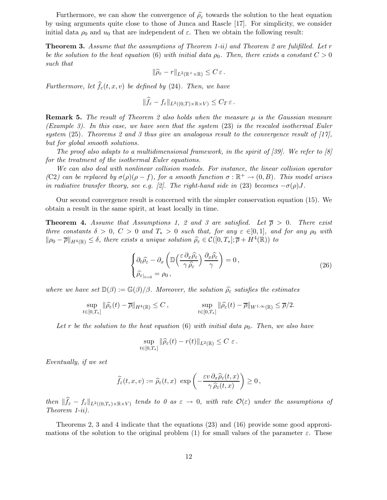Furthermore, we can show the convergence of  $\hat{\rho}_{\varepsilon}$  towards the solution to the heat equation by using arguments quite close to those of Junca and Rascle [17]. For simplicity, we consider initial data  $\rho_0$  and  $u_0$  that are independent of  $\varepsilon$ . Then we obtain the following result:

**Theorem 3.** Assume that the assumptions of Theorem 1-ii) and Theorem 2 are fulifilled. Let r be the solution to the heat equation (6) with initial data  $\rho_0$ . Then, there exists a constant  $C > 0$ such that

$$
\|\widehat{\rho}_{\varepsilon}-r\|_{L^2(\mathbb{R}^+\times\mathbb{R})}\leq C\,\varepsilon\,.
$$

Furthermore, let  $f_{\varepsilon}(t,x,v)$  be defined by (24). Then, we have

$$
\|\widehat{f}_{\varepsilon}-f_{\varepsilon}\|_{L^2((0,T)\times\mathbb{R}\times V)}\leq C_T\,\varepsilon\,.
$$

**Remark 5.** The result of Theorem 2 also holds when the measure  $\mu$  is the Gaussian measure (Example 3). In this case, we have seen that the system  $(23)$  is the rescaled isothermal Euler system  $(25)$ . Theorems 2 and 3 thus give an analogous result to the convergence result of  $(17)$ , but for global smooth solutions.

The proof also adapts to a multidimensional framework, in the spirit of [39]. We refer to [8] for the treatment of the isothermal Euler equations.

We can also deal with nonlinear collision models. For instance, the linear collision operator (C2) can be replaced by  $\sigma(\rho)(\rho - f)$ , for a smooth function  $\sigma : \mathbb{R}^+ \to (0, B)$ . This model arises in radiative transfer theory, see e.g. [2]. The right-hand side in (23) becomes  $-\sigma(\rho)J$ .

Our second convergence result is concerned with the simpler conservation equation (15). We obtain a result in the same spirit, at least locally in time.

**Theorem 4.** Assume that Assumptions 1, 2 and 3 are satisfied. Let  $\overline{\rho} > 0$ . There exist three constants  $\delta > 0$ ,  $C > 0$  and  $T_* > 0$  such that, for any  $\varepsilon \in ]0,1]$ , and for any  $\rho_0$  with  $\|\rho_0 - \overline{\rho}\|_{H^4(\mathbb{R})} \le \delta$ , there exists a unique solution  $\widehat{\rho}_{\varepsilon} \in \mathcal{C}([0,T_*]; \overline{\rho} + H^4(\mathbb{R}))$  to

$$
\begin{cases} \partial_t \widehat{\rho}_{\varepsilon} - \partial_x \left( \mathbb{D} \left( \frac{\varepsilon \, \partial_x \widehat{\rho}_{\varepsilon}}{\gamma \, \widehat{\rho}_{\varepsilon}} \right) \frac{\partial_x \widehat{\rho}_{\varepsilon}}{\gamma} \right) = 0, \\ \widehat{\rho}_{\varepsilon}|_{t=0} = \rho_0, \end{cases}
$$
 (26)

where we have set  $\mathbb{D}(\beta) := \mathbb{G}(\beta)/\beta$ . Moreover, the solution  $\widehat{\rho}_{\varepsilon}$  satisfies the estimates

$$
\sup_{t\in[0,T_*]}\|\widehat{\rho}_{\varepsilon}(t)-\overline{\rho}\|_{H^4(\mathbb{R})}\leq C\,,\qquad\qquad\sup_{t\in[0,T_*]}\|\widehat{\rho}_{\varepsilon}(t)-\overline{\rho}\|_{W^{1,\infty}(\mathbb{R})}\leq\overline{\rho}/2.
$$

Let r be the solution to the heat equation (6) with initial data  $\rho_0$ . Then, we also have

$$
\sup_{t\in[0,T_*]}\|\widehat{\rho}_{\varepsilon}(t)-r(t)\|_{L^2(\mathbb{R})}\leq C\,\,\varepsilon\,.
$$

Eventually, if we set

$$
\widehat{f}_{\varepsilon}(t,x,v) := \widehat{\rho}_{\varepsilon}(t,x) \exp\left(-\frac{\varepsilon v \,\partial_x \widehat{\rho}_{\varepsilon}(t,x)}{\gamma \,\widehat{\rho}_{\varepsilon}(t,x)}\right) \geq 0,
$$

then  $||f_{\varepsilon}-f_{\varepsilon}||_{L^2((0,T_*)\times\mathbb{R}\times V)}$  tends to 0 as  $\varepsilon\to 0$ , with rate  $\mathcal{O}(\varepsilon)$  under the assumptions of Theorem 1-ii).

Theorems 2, 3 and 4 indicate that the equations (23) and (16) provide some good approximations of the solution to the original problem (1) for small values of the parameter  $\varepsilon$ . These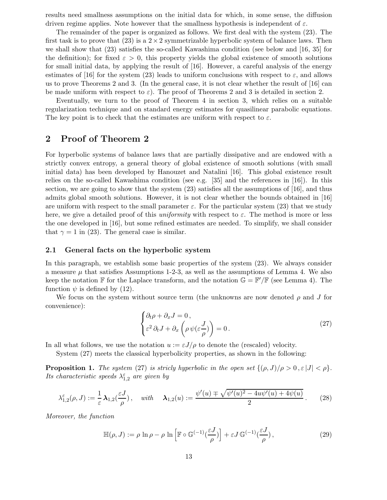results need smallness assumptions on the initial data for which, in some sense, the diffusion driven regime applies. Note however that the smallness hypothesis is independent of  $\varepsilon$ .

The remainder of the paper is organized as follows. We first deal with the system (23). The first task is to prove that (23) is a  $2 \times 2$  symmetrizable hyperbolic system of balance laws. Then we shall show that (23) satisfies the so-called Kawashima condition (see below and [16, 35] for the definition); for fixed  $\varepsilon > 0$ , this property yields the global existence of smooth solutions for small initial data, by applying the result of [16]. However, a careful analysis of the energy estimates of [16] for the system (23) leads to uniform conclusions with respect to  $\varepsilon$ , and allows us to prove Theorems 2 and 3. (In the general case, it is not clear whether the result of [16] can be made uniform with respect to  $\varepsilon$ ). The proof of Theorems 2 and 3 is detailed in section 2.

Eventually, we turn to the proof of Theorem 4 in section 3, which relies on a suitable regularization technique and on standard energy estimates for quasilinear parabolic equations. The key point is to check that the estimates are uniform with respect to  $\varepsilon$ .

## 2 Proof of Theorem 2

For hyperbolic systems of balance laws that are partially dissipative and are endowed with a strictly convex entropy, a general theory of global existence of smooth solutions (with small initial data) has been developed by Hanouzet and Natalini [16]. This global existence result relies on the so-called Kawashima condition (see e.g. [35] and the references in [16]). In this section, we are going to show that the system  $(23)$  satisfies all the assumptions of [16], and thus admits global smooth solutions. However, it is not clear whether the bounds obtained in [16] are uniform with respect to the small parameter  $\varepsilon$ . For the particular system (23) that we study here, we give a detailed proof of this uniformity with respect to  $\varepsilon$ . The method is more or less the one developed in [16], but some refined estimates are needed. To simplify, we shall consider that  $\gamma = 1$  in (23). The general case is similar.

### 2.1 General facts on the hyperbolic system

In this paragraph, we establish some basic properties of the system (23). We always consider a measure  $\mu$  that satisfies Assumptions 1-2-3, as well as the assumptions of Lemma 4. We also keep the notation  $\mathbb F$  for the Laplace transform, and the notation  $\mathbb G = \mathbb F'/\mathbb F$  (see Lemma 4). The function  $\psi$  is defined by (12).

We focus on the system without source term (the unknowns are now denoted  $\rho$  and J for convenience):

$$
\begin{cases} \partial_t \rho + \partial_x J = 0, \\ \varepsilon^2 \partial_t J + \partial_x \left( \rho \psi(\varepsilon \frac{J}{\rho}) \right) = 0. \end{cases}
$$
 (27)

In all what follows, we use the notation  $u := \varepsilon J/\rho$  to denote the (rescaled) velocity.

System (27) meets the classical hyperbolicity properties, as shown in the following:

**Proposition 1.** The system (27) is stricly hyperbolic in the open set  $\{(\rho,J)/\rho > 0, \varepsilon |J| < \rho\}.$ Its characteristic speeds  $\lambda_{1,2}^{\varepsilon}$  are given by

$$
\lambda_{1,2}^{\varepsilon}(\rho,J) := \frac{1}{\varepsilon} \,\mathbf{\lambda}_{1,2}(\frac{\varepsilon J}{\rho}), \quad \text{with} \quad \mathbf{\lambda}_{1,2}(u) := \frac{\psi'(u) \mp \sqrt{\psi'(u)^2 - 4u\psi'(u) + 4\psi(u)}}{2}.\tag{28}
$$

Moreover, the function

$$
\mathbb{H}(\rho, J) := \rho \ln \rho - \rho \ln \left[ \mathbb{F} \circ \mathbb{G}^{(-1)}(\frac{\varepsilon J}{\rho}) \right] + \varepsilon J \mathbb{G}^{(-1)}(\frac{\varepsilon J}{\rho}), \tag{29}
$$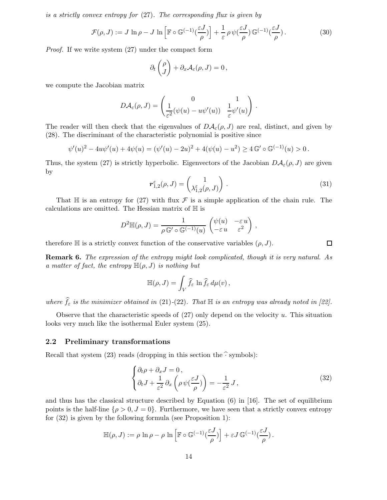is a strictly convex entropy for (27). The corresponding flux is given by

$$
\mathcal{F}(\rho, J) := J \ln \rho - J \ln \left[ \mathbb{F} \circ \mathbb{G}^{(-1)}(\frac{\varepsilon J}{\rho}) \right] + \frac{1}{\varepsilon} \rho \psi(\frac{\varepsilon J}{\rho}) \mathbb{G}^{(-1)}(\frac{\varepsilon J}{\rho}). \tag{30}
$$

Proof. If we write system (27) under the compact form

$$
\partial_t \begin{pmatrix} \rho \\ J \end{pmatrix} + \partial_x \mathcal{A}_{\varepsilon}(\rho, J) = 0 \,,
$$

we compute the Jacobian matrix

$$
D\mathcal{A}_{\varepsilon}(\rho,J) = \begin{pmatrix} 0 & 1 \\ \frac{1}{\varepsilon^2}(\psi(u) - u\psi'(u)) & \frac{1}{\varepsilon}\psi'(u) \end{pmatrix}.
$$

The reader will then check that the eigenvalues of  $D\mathcal{A}_{\varepsilon}(\rho,J)$  are real, distinct, and given by (28). The discriminant of the characteristic polynomial is positive since

$$
\psi'(u)^2 - 4u\psi'(u) + 4\psi(u) = (\psi'(u) - 2u)^2 + 4(\psi(u) - u^2) \ge 4\mathbb{G}' \circ \mathbb{G}^{(-1)}(u) > 0.
$$

Thus, the system (27) is strictly hyperbolic. Eigenvectors of the Jacobian  $D\mathcal{A}_{\varepsilon}(\rho,J)$  are given by

$$
\mathbf{r}_{1,2}^{\varepsilon}(\rho,J) = \begin{pmatrix} 1 \\ \lambda_{1,2}^{\varepsilon}(\rho,J) \end{pmatrix} . \tag{31}
$$

 $\Box$ 

That  $H$  is an entropy for (27) with flux  $\mathcal F$  is a simple application of the chain rule. The calculations are omitted. The Hessian matrix of  $\mathbb H$  is

$$
D^{2}\mathbb{H}(\rho, J) = \frac{1}{\rho \mathbb{G}' \circ \mathbb{G}^{(-1)}(u)} \begin{pmatrix} \psi(u) & -\varepsilon u \\ -\varepsilon u & \varepsilon^{2} \end{pmatrix},
$$

therefore  $\mathbb H$  is a strictly convex function of the conservative variables  $(\rho, J)$ .

Remark 6. The expression of the entropy might look complicated, though it is very natural. As a matter of fact, the entropy  $\mathbb{H}(\rho,J)$  is nothing but

$$
\mathbb{H}(\rho, J) = \int_V \widehat{f}_{\varepsilon} \ln \widehat{f}_{\varepsilon} d\mu(v),
$$

where  $\hat{f}_{\varepsilon}$  is the minimizer obtained in (21)-(22). That  $\mathbb H$  is an entropy was already noted in [22].

Observe that the characteristic speeds of  $(27)$  only depend on the velocity u. This situation looks very much like the isothermal Euler system (25).

### 2.2 Preliminary transformations

Recall that system (23) reads (dropping in this section the  $\hat{\cdot}$  symbols):

$$
\begin{cases} \partial_t \rho + \partial_x J = 0, \\ \partial_t J + \frac{1}{\varepsilon^2} \partial_x \left( \rho \psi \left( \frac{\varepsilon J}{\rho} \right) \right) = -\frac{1}{\varepsilon^2} J, \end{cases}
$$
 (32)

and thus has the classical structure described by Equation (6) in [16]. The set of equilibrium points is the half-line  $\{\rho > 0, J = 0\}$ . Furthermore, we have seen that a strictly convex entropy for (32) is given by the following formula (see Proposition 1):

$$
\mathbb{H}(\rho,J) := \rho \ln \rho - \rho \ln \left[ \mathbb{F} \circ \mathbb{G}^{(-1)}(\frac{\varepsilon J}{\rho}) \right] + \varepsilon J \mathbb{G}^{(-1)}(\frac{\varepsilon J}{\rho}).
$$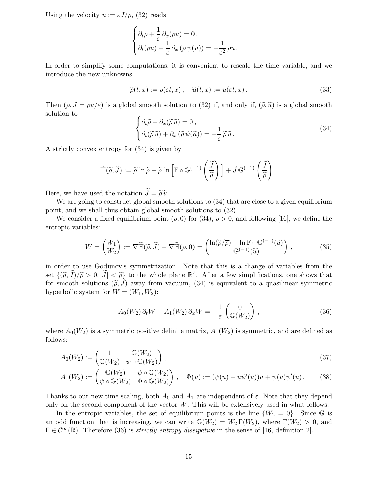Using the velocity  $u := \varepsilon J/\rho$ , (32) reads

$$
\begin{cases} \partial_t \rho + \frac{1}{\varepsilon} \partial_x (\rho u) = 0, \\ \partial_t (\rho u) + \frac{1}{\varepsilon} \partial_x (\rho \psi(u)) = -\frac{1}{\varepsilon^2} \rho u. \end{cases}
$$

In order to simplify some computations, it is convenient to rescale the time variable, and we introduce the new unknowns

$$
\widetilde{\rho}(t,x) := \rho(\varepsilon t,x), \quad \widetilde{u}(t,x) := u(\varepsilon t,x).
$$
\n(33)

Then  $(\rho, J = \rho u/\varepsilon)$  is a global smooth solution to (32) if, and only if,  $(\tilde{\rho}, \tilde{u})$  is a global smooth solution to

$$
\begin{cases} \partial_t \widetilde{\rho} + \partial_x (\widetilde{\rho} \widetilde{u}) = 0, \\ \partial_t (\widetilde{\rho} \widetilde{u}) + \partial_x (\widetilde{\rho} \psi(\widetilde{u})) = -\frac{1}{\varepsilon} \widetilde{\rho} \widetilde{u}. \end{cases}
$$
(34)

A strictly convex entropy for (34) is given by

$$
\widetilde{\mathbb{H}}(\widetilde{\rho},\widetilde{J}) := \widetilde{\rho} \ln \widetilde{\rho} - \widetilde{\rho} \ln \left[ \mathbb{F} \circ \mathbb{G}^{(-1)}\left(\frac{\widetilde{J}}{\widetilde{\rho}}\right) \right] + \widetilde{J} \mathbb{G}^{(-1)}\left(\frac{\widetilde{J}}{\widetilde{\rho}}\right).
$$

Here, we have used the notation  $\widetilde{J} = \widetilde{\rho} \widetilde{u}$ .

We are going to construct global smooth solutions to  $(34)$  that are close to a given equilibrium point, and we shall thus obtain global smooth solutions to (32).

We consider a fixed equilibrium point  $(\bar{\rho}, 0)$  for  $(34)$ ,  $\bar{\rho} > 0$ , and following [16], we define the entropic variables:

$$
W = \begin{pmatrix} W_1 \\ W_2 \end{pmatrix} := \nabla \widetilde{\mathbb{H}}(\widetilde{\rho}, \widetilde{J}) - \nabla \widetilde{\mathbb{H}}(\overline{\rho}, 0) = \begin{pmatrix} \ln(\widetilde{\rho}/\overline{\rho}) - \ln \mathbb{F} \circ \mathbb{G}^{(-1)}(\widetilde{u}) \\ \mathbb{G}^{(-1)}(\widetilde{u}) \end{pmatrix},
$$
(35)

in order to use Godunov's symmetrization. Note that this is a change of variables from the set  $\{(\tilde{\rho}, \tilde{J})/\tilde{\rho} > 0, |\tilde{J}| < \tilde{\rho}\}$  to the whole plane  $\mathbb{R}^2$ . After a few simplifications, one shows that for smooth solutions  $(\tilde{\rho}, J)$  away from vacuum, (34) is equivalent to a quasilinear symmetric hyperbolic system for  $W = (W_1, W_2)$ :

$$
A_0(W_2)\,\partial_t W + A_1(W_2)\,\partial_x W = -\frac{1}{\varepsilon} \begin{pmatrix} 0\\ \mathbb{G}(W_2) \end{pmatrix},\tag{36}
$$

where  $A_0(W_2)$  is a symmetric positive definite matrix,  $A_1(W_2)$  is symmetric, and are defined as follows:

$$
A_0(W_2) := \begin{pmatrix} 1 & \mathbb{G}(W_2) \\ \mathbb{G}(W_2) & \psi \circ \mathbb{G}(W_2) \end{pmatrix},
$$
\n(37)

$$
A_1(W_2) := \begin{pmatrix} \mathbb{G}(W_2) & \psi \circ \mathbb{G}(W_2) \\ \psi \circ \mathbb{G}(W_2) & \Phi \circ \mathbb{G}(W_2) \end{pmatrix}, \quad \Phi(u) := (\psi(u) - u\psi'(u))u + \psi(u)\psi'(u). \tag{38}
$$

Thanks to our new time scaling, both  $A_0$  and  $A_1$  are independent of  $\varepsilon$ . Note that they depend only on the second component of the vector W. This will be extensively used in what follows.

In the entropic variables, the set of equilibrium points is the line  $\{W_2 = 0\}$ . Since G is an odd function that is increasing, we can write  $\mathbb{G}(W_2) = W_2 \Gamma(W_2)$ , where  $\Gamma(W_2) > 0$ , and  $\Gamma \in C^{\infty}(\mathbb{R})$ . Therefore (36) is *strictly entropy dissipative* in the sense of [16, definition 2].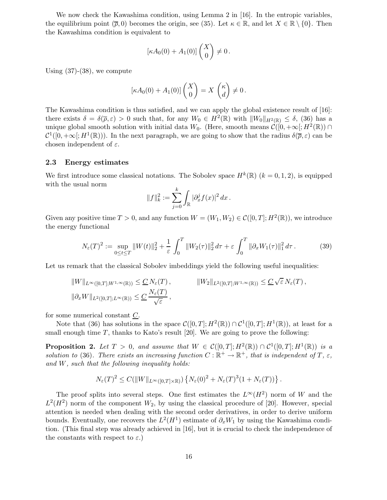We now check the Kawashima condition, using Lemma 2 in [16]. In the entropic variables, the equilibrium point ( $\bar{\rho}$ , 0) becomes the origin, see (35). Let  $\kappa \in \mathbb{R}$ , and let  $X \in \mathbb{R} \setminus \{0\}$ . Then the Kawashima condition is equivalent to

$$
[\kappa A_0(0) + A_1(0)]\begin{pmatrix} X \\ 0 \end{pmatrix} \neq 0.
$$

Using  $(37)-(38)$ , we compute

$$
[\kappa A_0(0) + A_1(0)]\begin{pmatrix} X \\ 0 \end{pmatrix} = X \begin{pmatrix} \kappa \\ d \end{pmatrix} \neq 0.
$$

The Kawashima condition is thus satisfied, and we can apply the global existence result of [16]: there exists  $\delta = \delta(\overline{\rho}, \varepsilon) > 0$  such that, for any  $W_0 \in H^2(\mathbb{R})$  with  $||W_0||_{H^2(\mathbb{R})} \leq \delta$ , (36) has a unique global smooth solution with initial data  $W_0$ . (Here, smooth means  $\mathcal{C}([0, +\infty[; H^2(\mathbb{R})) \cap$  $\mathcal{C}^1([0,+\infty[;H^1(\mathbb{R})))$ . In the next paragraph, we are going to show that the radius  $\delta(\overline{\rho},\varepsilon)$  can be chosen independent of  $\varepsilon$ .

### 2.3 Energy estimates

We first introduce some classical notations. The Sobolev space  $H^k(\mathbb{R})$   $(k = 0, 1, 2)$ , is equipped with the usual norm

$$
||f||_k^2 := \sum_{j=0}^k \int_{\mathbb{R}} |\partial_x^j f(x)|^2 dx.
$$

Given any positive time  $T > 0$ , and any function  $W = (W_1, W_2) \in C([0, T]; H^2(\mathbb{R}))$ , we introduce the energy functional

$$
N_{\varepsilon}(T)^{2} := \sup_{0 \le t \le T} \|W(t)\|_{2}^{2} + \frac{1}{\varepsilon} \int_{0}^{T} \|W_{2}(\tau)\|_{2}^{2} d\tau + \varepsilon \int_{0}^{T} \|\partial_{x}W_{1}(\tau)\|_{1}^{2} d\tau. \tag{39}
$$

Let us remark that the classical Sobolev imbeddings yield the following useful inequalities:

$$
||W||_{L^{\infty}([0,T];W^{1,\infty}(\mathbb{R}))} \leq \underline{C} N_{\varepsilon}(T), \qquad ||W_2||_{L^2([0,T];W^{1,\infty}(\mathbb{R}))} \leq \underline{C} \sqrt{\varepsilon} N_{\varepsilon}(T),
$$
  

$$
||\partial_x W||_{L^2([0,T];L^{\infty}(\mathbb{R}))} \leq \underline{C} \frac{N_{\varepsilon}(T)}{\sqrt{\varepsilon}},
$$

for some numerical constant  $C$ .

Note that (36) has solutions in the space  $\mathcal{C}([0,T];H^2(\mathbb{R}))\cap \mathcal{C}^1([0,T];H^1(\mathbb{R}))$ , at least for a small enough time  $T$ , thanks to Kato's result [20]. We are going to prove the following:

**Proposition 2.** Let  $T > 0$ , and assume that  $W \in C([0,T]; H^2(\mathbb{R})) \cap C^1([0,T]; H^1(\mathbb{R}))$  is a solution to (36). There exists an increasing function  $C : \mathbb{R}^+ \to \mathbb{R}^+$ , that is independent of  $T$ ,  $\varepsilon$ , and  $W$ , such that the following inequality holds:

$$
N_{\varepsilon}(T)^2 \leq C(||W||_{L^{\infty}([0,T]\times\mathbb{R})}) \left\{ N_{\varepsilon}(0)^2 + N_{\varepsilon}(T)^3 (1+N_{\varepsilon}(T)) \right\}.
$$

The proof splits into several steps. One first estimates the  $L^{\infty}(H^2)$  norm of W and the  $L^2(H^2)$  norm of the component  $W_2$ , by using the classical procedure of [20]. However, special attention is needed when dealing with the second order derivatives, in order to derive uniform bounds. Eventually, one recovers the  $L^2(H^1)$  estimate of  $\partial_x W_1$  by using the Kawashima condition. (This final step was already achieved in [16], but it is crucial to check the independence of the constants with respect to  $\varepsilon$ .)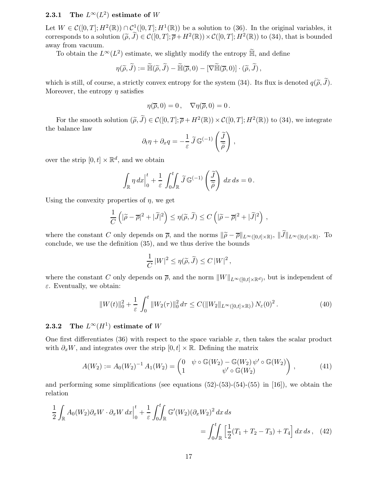### **2.3.1** The  $L^{\infty}(L^2)$  estimate of W

Let  $W \in \mathcal{C}([0,T]; H^2(\mathbb{R})) \cap \mathcal{C}^1([0,T]; H^1(\mathbb{R}))$  be a solution to (36). In the original variables, it corresponds to a solution  $(\tilde{\rho}, \tilde{J}) \in \mathcal{C}([0,T]; \overline{\rho} + H^2(\mathbb{R})) \times \mathcal{C}([0,T]; H^2(\mathbb{R}))$  to (34), that is bounded away from vacuum.

To obtain the  $L^{\infty}(L^2)$  estimate, we slightly modify the entropy  $\widetilde{\mathbb{H}}$ , and define

$$
\eta(\widetilde{\rho},\widetilde{J}) := \widetilde{\mathbb{H}}(\widetilde{\rho},\widetilde{J}) - \widetilde{\mathbb{H}}(\overline{\rho},0) - [\nabla \widetilde{\mathbb{H}}(\overline{\rho},0)] \cdot (\widetilde{\rho},\widetilde{J}),
$$

which is still, of course, a strictly convex entropy for the system (34). Its flux is denoted  $q(\tilde{\rho}, \tilde{J})$ . Moreover, the entropy  $\eta$  satisfies

$$
\eta(\overline{\rho},0)=0\,,\quad\nabla\eta(\overline{\rho},0)=0\,.
$$

For the smooth solution  $(\tilde{\rho}, \tilde{J}) \in \mathcal{C}([0, T]; \overline{\rho} + H^2(\mathbb{R})) \times \mathcal{C}([0, T]; H^2(\mathbb{R}))$  to (34), we integrate the balance law

$$
\partial_t \eta + \partial_x q = -\frac{1}{\varepsilon} \widetilde{J} \mathbb{G}^{(-1)} \left( \frac{\widetilde{J}}{\widetilde{\rho}} \right) ,
$$

over the strip  $[0, t] \times \mathbb{R}^d$ , and we obtain

$$
\int_{\mathbb{R}} \eta \, dx \Big|_0^t + \frac{1}{\varepsilon} \int_0^t \int_{\mathbb{R}} \widetilde{J} \mathbb{G}^{(-1)}\left(\frac{\widetilde{J}}{\widetilde{\rho}}\right) \, dx \, ds = 0 \, .
$$

Using the convexity properties of  $\eta$ , we get

$$
\frac{1}{C}\left(|\widetilde{\rho}-\overline{\rho}|^2+|\widetilde{J}|^2\right)\leq \eta(\widetilde{\rho},\widetilde{J})\leq C\left(|\widetilde{\rho}-\overline{\rho}|^2+|\widetilde{J}|^2\right),
$$

where the constant C only depends on  $\overline{\rho}$ , and the norms  $\|\widetilde{\rho}-\overline{\rho}\|_{L^{\infty}([0,t]\times\mathbb{R})}$ ,  $\|J\|_{L^{\infty}([0,t]\times\mathbb{R})}$ . To conclude, we use the definition (35), and we thus derive the bounds

$$
\frac{1}{C} |W|^2 \le \eta(\widetilde{\rho}, \widetilde{J}) \le C |W|^2 \,,
$$

where the constant C only depends on  $\overline{\rho}$ , and the norm  $||W||_{L^{\infty}([0,t]\times\mathbb{R}^d)}$ , but is independent of  $\varepsilon$ . Eventually, we obtain:

$$
||W(t)||_0^2 + \frac{1}{\varepsilon} \int_0^t ||W_2(\tau)||_0^2 d\tau \le C(||W_2||_{L^\infty([0,t]\times\mathbb{R})}) N_\varepsilon(0)^2.
$$
 (40)

### **2.3.2** The  $L^{\infty}(H^1)$  estimate of W

One first differentiates  $(36)$  with respect to the space variable x, then takes the scalar product with  $\partial_r W$ , and integrates over the strip  $[0, t] \times \mathbb{R}$ . Defining the matrix

$$
A(W_2) := A_0(W_2)^{-1} A_1(W_2) = \begin{pmatrix} 0 & \psi \circ \mathbb{G}(W_2) - \mathbb{G}(W_2) \psi' \circ \mathbb{G}(W_2) \\ 1 & \psi' \circ \mathbb{G}(W_2) \end{pmatrix},
$$
(41)

and performing some simplifications (see equations  $(52)-(53)-(54)-(55)$  in [16]), we obtain the relation

$$
\frac{1}{2} \int_{\mathbb{R}} A_0(W_2) \partial_x W \cdot \partial_x W dx \Big|_0^t + \frac{1}{\varepsilon} \int_0^t \int_{\mathbb{R}} \mathbb{G}'(W_2) (\partial_x W_2)^2 dx ds
$$
  
= 
$$
\int_0^t \int_{\mathbb{R}} \left[ \frac{1}{2} (T_1 + T_2 - T_3) + T_4 \right] dx ds, \quad (42)
$$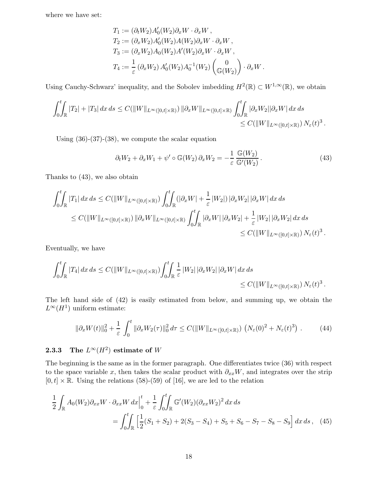where we have set:

$$
T_1 := (\partial_t W_2) A'_0(W_2) \partial_x W \cdot \partial_x W,
$$
  
\n
$$
T_2 := (\partial_x W_2) A'_0(W_2) A(W_2) \partial_x W \cdot \partial_x W,
$$
  
\n
$$
T_3 := (\partial_x W_2) A_0(W_2) A'(W_2) \partial_x W \cdot \partial_x W,
$$
  
\n
$$
T_4 := \frac{1}{\varepsilon} (\partial_x W_2) A'_0(W_2) A_0^{-1}(W_2) \begin{pmatrix} 0 \\ \mathbb{G}(W_2) \end{pmatrix} \cdot \partial_x W.
$$

Using Cauchy-Schwarz' inequality, and the Sobolev imbedding  $H^2(\mathbb{R}) \subset W^{1,\infty}(\mathbb{R})$ , we obtain

$$
\int_0^t \int_{\mathbb{R}} |T_2| + |T_3| dx ds \leq C(||W||_{L^{\infty}([0,t]\times\mathbb{R})}) ||\partial_x W||_{L^{\infty}([0,t]\times\mathbb{R})} \int_0^t \int_{\mathbb{R}} |\partial_x W_2||\partial_x W| dx ds
$$
  
\$\leq C(||W||\_{L^{\infty}([0,t]\times\mathbb{R})}) N\_{\varepsilon}(t)^3.\$

Using  $(36)-(37)-(38)$ , we compute the scalar equation

$$
\partial_t W_2 + \partial_x W_1 + \psi' \circ \mathbb{G}(W_2) \partial_x W_2 = -\frac{1}{\varepsilon} \frac{\mathbb{G}(W_2)}{\mathbb{G}'(W_2)}.
$$
\n(43)

Thanks to (43), we also obtain

$$
\int_0^t \int_{\mathbb{R}} |T_1| dx ds \le C(\|W\|_{L^\infty([0,t]\times\mathbb{R})}) \int_0^t \int_{\mathbb{R}} (|\partial_x W| + \frac{1}{\varepsilon} |W_2|) |\partial_x W_2| |\partial_x W| dx ds
$$
  
\n
$$
\le C(\|W\|_{L^\infty([0,t]\times\mathbb{R})}) \|\partial_x W\|_{L^\infty([0,t]\times\mathbb{R})} \int_0^t \int_{\mathbb{R}} |\partial_x W| |\partial_x W_2| + \frac{1}{\varepsilon} |W_2| |\partial_x W_2| dx ds
$$
  
\n
$$
\le C(\|W\|_{L^\infty([0,t]\times\mathbb{R})}) N_\varepsilon(t)^3.
$$

Eventually, we have

$$
\int_0^t \int_{\mathbb{R}} |T_4| dx ds \le C(||W||_{L^{\infty}([0,t]\times\mathbb{R})}) \int_0^t \int_{\mathbb{R}} \frac{1}{\varepsilon} |W_2| |\partial_x W_2| |\partial_x W| dx ds
$$
  
\$\le C(||W||\_{L^{\infty}([0,t]\times\mathbb{R})}) N\_{\varepsilon}(t)^3.\$

The left hand side of (42) is easily estimated from below, and summing up, we obtain the  $L^{\infty}(H^1)$  uniform estimate:

$$
\|\partial_x W(t)\|_0^2 + \frac{1}{\varepsilon} \int_0^t \|\partial_x W_2(\tau)\|_0^2 d\tau \le C(\|W\|_{L^\infty([0,t]\times\mathbb{R})}) \left(N_\varepsilon(0)^2 + N_\varepsilon(t)^3\right). \tag{44}
$$

### **2.3.3** The  $L^\infty(H^2)$  estimate of  $W$

The beginning is the same as in the former paragraph. One differentiates twice (36) with respect to the space variable x, then takes the scalar product with  $\partial_{xx}W$ , and integrates over the strip  $[0,t] \times \mathbb{R}$ . Using the relations (58)-(59) of [16], we are led to the relation

$$
\frac{1}{2} \int_{\mathbb{R}} A_0(W_2) \partial_{xx} W \cdot \partial_{xx} W dx \Big|_0^t + \frac{1}{\varepsilon} \int_0^t \int_{\mathbb{R}} \mathbb{G}'(W_2) (\partial_{xx} W_2)^2 dx ds
$$
  
= 
$$
\int_0^t \int_{\mathbb{R}} \left[ \frac{1}{2} (S_1 + S_2) + 2(S_3 - S_4) + S_5 + S_6 - S_7 - S_8 - S_9 \right] dx ds, \quad (45)
$$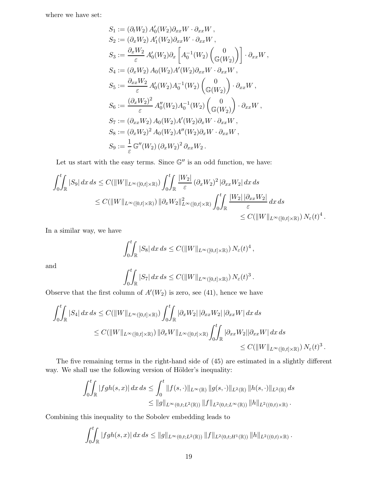where we have set:

$$
S_1 := (\partial_t W_2) A'_0(W_2) \partial_{xx} W \cdot \partial_{xx} W ,
$$
  
\n
$$
S_2 := (\partial_x W_2) A'_1(W_2) \partial_{xx} W \cdot \partial_{xx} W ,
$$
  
\n
$$
S_3 := \frac{\partial_x W_2}{\varepsilon} A'_0(W_2) \partial_x \left[ A_0^{-1}(W_2) \begin{pmatrix} 0 \\ \mathbb{G}(W_2) \end{pmatrix} \right] \cdot \partial_{xx} W ,
$$
  
\n
$$
S_4 := (\partial_x W_2) A_0(W_2) A'(W_2) \partial_{xx} W \cdot \partial_{xx} W ,
$$
  
\n
$$
S_5 := \frac{\partial_{xx} W_2}{\varepsilon} A'_0(W_2) A_0^{-1}(W_2) \begin{pmatrix} 0 \\ \mathbb{G}(W_2) \end{pmatrix} \cdot \partial_{xx} W ,
$$
  
\n
$$
S_6 := \frac{(\partial_x W_2)^2}{\varepsilon} A''_0(W_2) A_0^{-1}(W_2) \begin{pmatrix} 0 \\ \mathbb{G}(W_2) \end{pmatrix} \cdot \partial_{xx} W ,
$$
  
\n
$$
S_7 := (\partial_{xx} W_2) A_0(W_2) A'(W_2) \partial_x W \cdot \partial_{xx} W ,
$$
  
\n
$$
S_8 := (\partial_x W_2)^2 A_0(W_2) A''(W_2) \partial_x W \cdot \partial_{xx} W ,
$$
  
\n
$$
S_9 := \frac{1}{\varepsilon} \mathbb{G}''(W_2) (\partial_x W_2)^2 \partial_{xx} W_2 .
$$

Let us start with the easy terms. Since  $\mathbb{G}''$  is an odd function, we have:

$$
\int_0^t \int_{\mathbb{R}} |S_9| dx ds \le C(\|W\|_{L^\infty([0,t]\times\mathbb{R})}) \int_0^t \int_{\mathbb{R}} \frac{|W_2|}{\varepsilon} (\partial_x W_2)^2 |\partial_{xx} W_2| dx ds
$$
  
\n
$$
\le C(\|W\|_{L^\infty([0,t]\times\mathbb{R})}) \|\partial_x W_2\|_{L^\infty([0,t]\times\mathbb{R})}^2 \int_0^t \int_{\mathbb{R}} \frac{|W_2| |\partial_{xx} W_2|}{\varepsilon} dx ds
$$
  
\n
$$
\le C(\|W\|_{L^\infty([0,t]\times\mathbb{R})}) N_\varepsilon(t)^4.
$$

In a similar way, we have

$$
\int_0^t \int_{\mathbb{R}} |S_8| dx ds \leq C(||W||_{L^{\infty}([0,t]\times\mathbb{R})}) N_{\varepsilon}(t)^4,
$$

and

$$
\int_0^t \int_{\mathbb{R}} |S_7| dx ds \leq C(||W||_{L^{\infty}([0,t]\times\mathbb{R})}) N_{\varepsilon}(t)^3.
$$

Observe that the first column of  $A'(W_2)$  is zero, see (41), hence we have

$$
\int_0^t \int_{\mathbb{R}} |S_4| dx ds \leq C(||W||_{L^{\infty}([0,t]\times\mathbb{R})}) \int_0^t \int_{\mathbb{R}} |\partial_x W_2| |\partial_{xx} W_2| |\partial_{xx} W| dx ds
$$
  
\n
$$
\leq C(||W||_{L^{\infty}([0,t]\times\mathbb{R})}) ||\partial_x W||_{L^{\infty}([0,t]\times\mathbb{R})} \int_0^t \int_{\mathbb{R}} |\partial_{xx} W_2| |\partial_{xx} W| dx ds
$$
  
\n
$$
\leq C(||W||_{L^{\infty}([0,t]\times\mathbb{R})}) N_{\varepsilon}(t)^3.
$$

The five remaining terms in the right-hand side of (45) are estimated in a slightly different way. We shall use the following version of Hölder's inequality:

$$
\int_0^t \int_{\mathbb{R}} |fgh(s,x)| \, dx \, ds \le \int_0^t \|f(s,\cdot)\|_{L^\infty(\mathbb{R})} \|g(s,\cdot)\|_{L^2(\mathbb{R})} \|h(s,\cdot)\|_{L^2(\mathbb{R})} \, ds
$$
  

$$
\le \|g\|_{L^\infty(0,t;L^2(\mathbb{R}))} \|f\|_{L^2(0,t;L^\infty(\mathbb{R}))} \|h\|_{L^2((0,t)\times\mathbb{R})}.
$$

Combining this inequality to the Sobolev embedding leads to

$$
\int_0^t \int_{\mathbb{R}} |fgh(s,x)| dx ds \leq ||g||_{L^{\infty}(0,t;L^2(\mathbb{R}))} ||f||_{L^2(0,t;H^1(\mathbb{R}))} ||h||_{L^2((0,t)\times\mathbb{R})}.
$$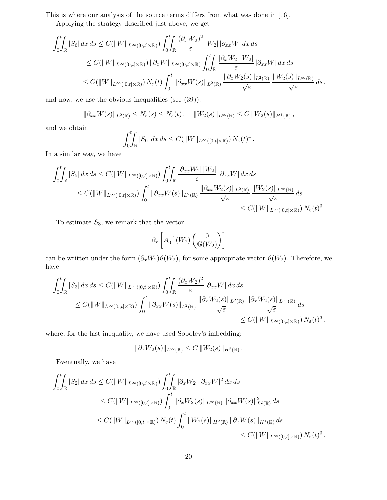This is where our analysis of the source terms differs from what was done in [16].

Applying the strategy described just above, we get

$$
\int_0^t \int_{\mathbb{R}} |S_6| dx ds \le C(||W||_{L^{\infty}([0,t]\times\mathbb{R})}) \int_0^t \int_{\mathbb{R}} \frac{(\partial_x W_2)^2}{\varepsilon} |W_2| |\partial_{xx} W| dx ds
$$
  
\n
$$
\le C(||W||_{L^{\infty}([0,t]\times\mathbb{R})}) ||\partial_x W||_{L^{\infty}([0,t]\times\mathbb{R})} \int_0^t \int_{\mathbb{R}} \frac{|\partial_x W_2| |W_2|}{\varepsilon} |\partial_{xx} W| dx ds
$$
  
\n
$$
\le C(||W||_{L^{\infty}([0,t]\times\mathbb{R})}) N_{\varepsilon}(t) \int_0^t ||\partial_{xx} W(s)||_{L^2(\mathbb{R})} \frac{||\partial_x W_2(s)||_{L^2(\mathbb{R})}}{\sqrt{\varepsilon}} \frac{||W_2(s)||_{L^{\infty}(\mathbb{R})}}{\sqrt{\varepsilon}} ds,
$$

and now, we use the obvious inequalities (see (39)):

$$
\|\partial_{xx}W(s)\|_{L^2(\mathbb{R})}\leq N_{\varepsilon}(s)\leq N_{\varepsilon}(t),\quad \|W_2(s)\|_{L^{\infty}(\mathbb{R})}\leq C\,\|W_2(s)\|_{H^1(\mathbb{R})}\,,
$$

and we obtain

$$
\int_0^t \int_{\mathbb{R}} |S_6| dx ds \leq C(||W||_{L^{\infty}([0,t]\times\mathbb{R})}) N_{\varepsilon}(t)^4.
$$

In a similar way, we have

$$
\int_0^t \int_{\mathbb{R}} |S_5| dx ds \leq C(||W||_{L^{\infty}([0,t]\times\mathbb{R})}) \int_0^t \int_{\mathbb{R}} \frac{|\partial_{xx} W_2| |W_2|}{\varepsilon} |\partial_{xx} W| dx ds
$$
  
\n
$$
\leq C(||W||_{L^{\infty}([0,t]\times\mathbb{R})}) \int_0^t ||\partial_{xx} W(s)||_{L^2(\mathbb{R})} \frac{||\partial_{xx} W_2(s)||_{L^2(\mathbb{R})}}{\sqrt{\varepsilon}} \frac{||W_2(s)||_{L^{\infty}(\mathbb{R})}}{\sqrt{\varepsilon}} ds
$$
  
\n
$$
\leq C(||W||_{L^{\infty}([0,t]\times\mathbb{R})}) N_{\varepsilon}(t)^3.
$$

To estimate  $S_3$ , we remark that the vector

$$
\partial_x \left[ A_0^{-1}(W_2) \begin{pmatrix} 0 \\ \mathbb{G}(W_2) \end{pmatrix} \right]
$$

can be written under the form  $(\partial_x W_2)\vartheta(W_2)$ , for some appropriate vector  $\vartheta(W_2)$ . Therefore, we have

$$
\int_0^t \int_{\mathbb{R}} |S_3| dx ds \le C(\|W\|_{L^\infty([0,t]\times\mathbb{R})}) \int_0^t \int_{\mathbb{R}} \frac{(\partial_x W_2)^2}{\varepsilon} |\partial_{xx} W| dx ds
$$
  
\n
$$
\le C(\|W\|_{L^\infty([0,t]\times\mathbb{R})}) \int_0^t \|\partial_{xx} W(s)\|_{L^2(\mathbb{R})} \frac{\|\partial_x W_2(s)\|_{L^2(\mathbb{R})}}{\sqrt{\varepsilon}} \frac{\|\partial_x W_2(s)\|_{L^\infty(\mathbb{R})}}{\sqrt{\varepsilon}} ds
$$
  
\n
$$
\le C(\|W\|_{L^\infty([0,t]\times\mathbb{R})}) N_{\varepsilon}(t)^3,
$$

where, for the last inequality, we have used Sobolev's imbedding:

$$
\|\partial_x W_2(s)\|_{L^\infty(\mathbb{R})} \leq C \|W_2(s)\|_{H^2(\mathbb{R})} \, .
$$

Eventually, we have

$$
\int_{0}^{t} \int_{\mathbb{R}} |S_{2}| dx ds \leq C(\|W\|_{L^{\infty}([0,t]\times\mathbb{R})}) \int_{0}^{t} \int_{\mathbb{R}} |\partial_{x}W_{2}| |\partial_{xx}W|^{2} dx ds
$$
  
\n
$$
\leq C(\|W\|_{L^{\infty}([0,t]\times\mathbb{R})}) \int_{0}^{t} \|\partial_{x}W_{2}(s)\|_{L^{\infty}(\mathbb{R})} \|\partial_{xx}W(s)\|_{L^{2}(\mathbb{R})}^{2} ds
$$
  
\n
$$
\leq C(\|W\|_{L^{\infty}([0,t]\times\mathbb{R})}) N_{\varepsilon}(t) \int_{0}^{t} \|W_{2}(s)\|_{H^{2}(\mathbb{R})} \|\partial_{x}W(s)\|_{H^{1}(\mathbb{R})} ds
$$
  
\n
$$
\leq C(\|W\|_{L^{\infty}([0,t]\times\mathbb{R})}) N_{\varepsilon}(t)^{3} .
$$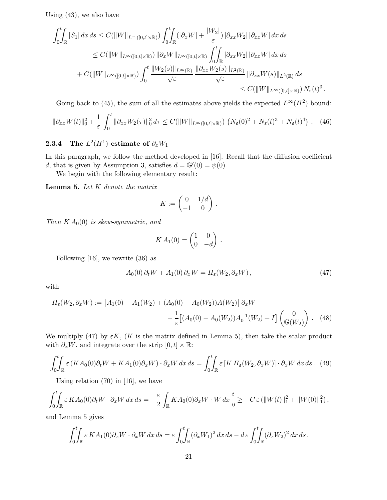Using (43), we also have

$$
\int_{0}^{t} \int_{\mathbb{R}} |S_{1}| dx ds \leq C(\|W\|_{L^{\infty}([0,t]\times\mathbb{R})}) \int_{0}^{t} \int_{\mathbb{R}} (|\partial_{x}W| + \frac{|W_{2}|}{\varepsilon}) |\partial_{xx}W_{2}| |\partial_{xx}W| dx ds
$$
  
\n
$$
\leq C(\|W\|_{L^{\infty}([0,t]\times\mathbb{R})}) \|\partial_{x}W\|_{L^{\infty}([0,t]\times\mathbb{R})} \int_{0}^{t} \int_{\mathbb{R}} |\partial_{xx}W_{2}| |\partial_{xx}W| dx ds
$$
  
\n
$$
+ C(\|W\|_{L^{\infty}([0,t]\times\mathbb{R})}) \int_{0}^{t} \frac{\|W_{2}(s)\|_{L^{\infty}(\mathbb{R})}}{\sqrt{\varepsilon}} \frac{\|\partial_{xx}W_{2}(s)\|_{L^{2}(\mathbb{R})}}{\sqrt{\varepsilon}} \|\partial_{xx}W(s)\|_{L^{2}(\mathbb{R})} ds
$$
  
\n
$$
\leq C(\|W\|_{L^{\infty}([0,t]\times\mathbb{R})}) N_{\varepsilon}(t)^{3}
$$

Going back to (45), the sum of all the estimates above yields the expected  $L^{\infty}(H^2)$  bound:

$$
\|\partial_{xx}W(t)\|_{0}^{2} + \frac{1}{\varepsilon} \int_{0}^{t} \|\partial_{xx}W_{2}(\tau)\|_{0}^{2} d\tau \leq C(\|W\|_{L^{\infty}([0,t]\times\mathbb{R})}) \left(N_{\varepsilon}(0)^{2} + N_{\varepsilon}(t)^{3} + N_{\varepsilon}(t)^{4}\right). \tag{46}
$$

### 2.3.4 The  $L^2(H^1)$  estimate of  $\partial_x W_1$

In this paragraph, we follow the method developed in [16]. Recall that the diffusion coefficient d, that is given by Assumption 3, satisfies  $d = \mathbb{G}'(0) = \psi(0)$ .

We begin with the following elementary result:

**Lemma 5.** Let  $K$  denote the matrix

$$
K := \begin{pmatrix} 0 & 1/d \\ -1 & 0 \end{pmatrix}.
$$

Then  $K A_0(0)$  is skew-symmetric, and

$$
KA_1(0) = \begin{pmatrix} 1 & 0 \\ 0 & -d \end{pmatrix}.
$$

Following [16], we rewrite (36) as

$$
A_0(0)\,\partial_t W + A_1(0)\,\partial_x W = H_\varepsilon(W_2, \partial_x W)\,,\tag{47}
$$

.

with

$$
H_{\varepsilon}(W_2, \partial_x W) := \left[A_1(0) - A_1(W_2) + (A_0(0) - A_0(W_2))A(W_2)\right] \partial_x W - \frac{1}{\varepsilon} \left[ (A_0(0) - A_0(W_2))A_0^{-1}(W_2) + I \right] \begin{pmatrix} 0 \\ \mathbb{G}(W_2) \end{pmatrix} . \tag{48}
$$

We multiply (47) by  $\varepsilon K$ , (K is the matrix defined in Lemma 5), then take the scalar product with  $\partial_x W$ , and integrate over the strip  $[0, t] \times \mathbb{R}$ :

$$
\int_0^t \int_{\mathbb{R}} \varepsilon \left( KA_0(0) \partial_t W + KA_1(0) \partial_x W \right) \cdot \partial_x W \, dx \, ds = \int_0^t \int_{\mathbb{R}} \varepsilon \left[ KH_\varepsilon(W_2, \partial_x W) \right] \cdot \partial_x W \, dx \, ds. \tag{49}
$$

Using relation (70) in [16], we have

$$
\int_0^t \int_{\mathbb{R}} \varepsilon K A_0(0) \partial_t W \cdot \partial_x W \, dx \, ds = -\frac{\varepsilon}{2} \int_{\mathbb{R}} K A_0(0) \partial_x W \cdot W \, dx \Big|_0^t \ge -C \, \varepsilon \left( \|W(t)\|_1^2 + \|W(0)\|_1^2 \right),
$$

and Lemma 5 gives

$$
\int_0^t \int_{\mathbb{R}} \varepsilon K A_1(0) \partial_x W \cdot \partial_x W dx ds = \varepsilon \int_0^t \int_{\mathbb{R}} (\partial_x W_1)^2 dx ds - d\varepsilon \int_0^t \int_{\mathbb{R}} (\partial_x W_2)^2 dx ds.
$$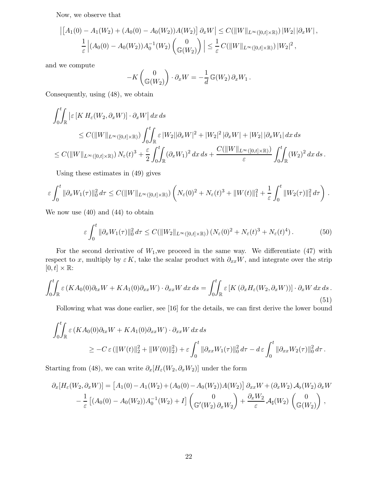Now, we observe that

$$
\left| \left[ A_1(0) - A_1(W_2) + (A_0(0) - A_0(W_2)) A(W_2) \right] \partial_x W \right| \le C \left( \|W\|_{L^{\infty}([0,t] \times \mathbb{R})} \right) |W_2| \left| \partial_x W \right|,
$$
  

$$
\frac{1}{\varepsilon} \left| (A_0(0) - A_0(W_2)) A_0^{-1}(W_2) \begin{pmatrix} 0 \\ \mathbb{G}(W_2) \end{pmatrix} \right| \le \frac{1}{\varepsilon} C \left( \|W\|_{L^{\infty}([0,t] \times \mathbb{R})} \right) |W_2|^2,
$$

and we compute

$$
-K\begin{pmatrix} 0 \\ \mathbb{G}(W_2) \end{pmatrix} \cdot \partial_x W = -\frac{1}{d} \mathbb{G}(W_2) \partial_x W_1.
$$

Consequently, using (48), we obtain

$$
\int_0^t \int_{\mathbb{R}} \left| \varepsilon \left[ K H_{\varepsilon}(W_2, \partial_x W) \right] \cdot \partial_x W \right| dx ds
$$
  
\n
$$
\leq C(\|W\|_{L^{\infty}([0,t]\times \mathbb{R})}) \int_0^t \int_{\mathbb{R}} \varepsilon |W_2| |\partial_x W|^2 + |W_2|^2 |\partial_x W| + |W_2| |\partial_x W_1| dx ds
$$
  
\n
$$
\leq C(\|W\|_{L^{\infty}([0,t]\times \mathbb{R})}) N_{\varepsilon}(t)^3 + \frac{\varepsilon}{2} \int_0^t \int_{\mathbb{R}} (\partial_x W_1)^2 dx ds + \frac{C(\|W\|_{L^{\infty}([0,t]\times \mathbb{R})})}{\varepsilon} \int_0^t \int_{\mathbb{R}} (W_2)^2 dx ds.
$$

Using these estimates in (49) gives

$$
\varepsilon \int_0^t \|\partial_x W_1(\tau)\|_0^2 d\tau \leq C(||W||_{L^{\infty}([0,t]\times\mathbb{R})})\left(N_{\varepsilon}(0)^2 + N_{\varepsilon}(t)^3 + ||W(t)||_1^2 + \frac{1}{\varepsilon} \int_0^t ||W_2(\tau)||_1^2 d\tau\right).
$$

We now use (40) and (44) to obtain

$$
\varepsilon \int_0^t \|\partial_x W_1(\tau)\|_0^2 d\tau \le C(\|W_2\|_{L^\infty([0,t]\times\mathbb{R})}) \left(N_\varepsilon(0)^2 + N_\varepsilon(t)^3 + N_\varepsilon(t)^4\right). \tag{50}
$$

For the second derivative of  $W_1$ , we proceed in the same way. We differentiate (47) with respect to x, multiply by  $\varepsilon K$ , take the scalar product with  $\partial_{xx}W$ , and integrate over the strip  $[0,t] \times \mathbb{R}$ :

$$
\int_0^t \int_{\mathbb{R}} \varepsilon \left( KA_0(0) \partial_{tx} W + KA_1(0) \partial_{xx} W \right) \cdot \partial_{xx} W \, dx \, ds = \int_0^t \int_{\mathbb{R}} \varepsilon \left[ K \left( \partial_x H_\varepsilon(W_2, \partial_x W) \right) \right] \cdot \partial_x W \, dx \, ds. \tag{51}
$$

Following what was done earlier, see [16] for the details, we can first derive the lower bound

$$
\int_0^t \int_{\mathbb{R}} \varepsilon \left(KA_0(0)\partial_{tx}W + KA_1(0)\partial_{xx}W\right) \cdot \partial_{xx}W \,dx \,ds
$$
  
\n
$$
\geq -C \varepsilon \left(\|W(t)\|_2^2 + \|W(0)\|_2^2\right) + \varepsilon \int_0^t \|\partial_{xx}W_1(\tau)\|_0^2 \,d\tau - d\varepsilon \int_0^t \|\partial_{xx}W_2(\tau)\|_0^2 \,d\tau.
$$

Starting from (48), we can write  $\partial_x[H_\varepsilon(W_2,\partial_xW_2)]$  under the form

$$
\partial_x [H_{\varepsilon}(W_2, \partial_x W)] = [A_1(0) - A_1(W_2) + (A_0(0) - A_0(W_2))A(W_2)] \partial_{xx} W + (\partial_x W_2) A_b(W_2) \partial_x W \n- \frac{1}{\varepsilon} [(A_0(0) - A_0(W_2))A_0^{-1}(W_2) + I] \begin{pmatrix} 0 \\ \mathbb{G}'(W_2) \partial_x W_2 \end{pmatrix} + \frac{\partial_x W_2}{\varepsilon} A_\sharp(W_2) \begin{pmatrix} 0 \\ \mathbb{G}(W_2) \end{pmatrix},
$$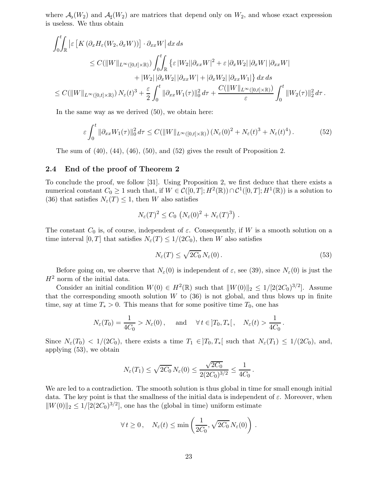where  $\mathcal{A}_{\flat}(W_2)$  and  $\mathcal{A}_{\sharp}(W_2)$  are matrices that depend only on  $W_2$ , and whose exact expression is useless. We thus obtain

$$
\int_{0}^{t} \int_{\mathbb{R}} \left| \varepsilon \left[ K \left( \partial_{x} H_{\varepsilon} (W_{2}, \partial_{x} W) \right) \right] \cdot \partial_{xx} W \right| dx ds
$$
  
\n
$$
\leq C (\|W\|_{L^{\infty}([0, t] \times \mathbb{R})}) \int_{0}^{t} \int_{\mathbb{R}} \left\{ \varepsilon \left| W_{2} \right| \left| \partial_{xx} W \right|^{2} + \varepsilon \left| \partial_{x} W_{2} \right| \left| \partial_{x} W \right| \left| \partial_{xx} W \right|
$$
  
\n
$$
+ |W_{2}| \left| \partial_{x} W_{2} \right| \left| \partial_{xx} W \right| + \left| \partial_{x} W_{2} \right| \left| \partial_{xx} W_{1} \right| \right\} dx ds
$$
  
\n
$$
\leq C (\|W\|_{L^{\infty}([0, t] \times \mathbb{R})}) N_{\varepsilon}(t)^{3} + \frac{\varepsilon}{2} \int_{0}^{t} \| \partial_{xx} W_{1}(\tau) \|_{0}^{2} d\tau + \frac{C (\|W\|_{L^{\infty}([0, t] \times \mathbb{R})})}{\varepsilon} \int_{0}^{t} \|W_{2}(\tau) \|_{2}^{2} d\tau .
$$

In the same way as we derived (50), we obtain here:

$$
\varepsilon \int_0^t \|\partial_{xx} W_1(\tau)\|_0^2 d\tau \le C(\|W\|_{L^\infty([0,t]\times\mathbb{R})}) \left(N_\varepsilon(0)^2 + N_\varepsilon(t)^3 + N_\varepsilon(t)^4\right). \tag{52}
$$

The sum of  $(40)$ ,  $(44)$ ,  $(46)$ ,  $(50)$ , and  $(52)$  gives the result of Proposition 2.

### 2.4 End of the proof of Theorem 2

To conclude the proof, we follow [31]. Using Proposition 2, we first deduce that there exists a numerical constant  $C_0 \geq 1$  such that, if  $W \in \mathcal{C}([0,T]; H^2(\mathbb{R})) \cap \mathcal{C}^1([0,T]; H^1(\mathbb{R}))$  is a solution to (36) that satisfies  $N_{\varepsilon}(T) \leq 1$ , then W also satisfies

$$
N_{\varepsilon}(T)^2 \leq C_0 \left( N_{\varepsilon}(0)^2 + N_{\varepsilon}(T)^3 \right) .
$$

The constant  $C_0$  is, of course, independent of  $\varepsilon$ . Consequently, if W is a smooth solution on a time interval [0, T] that satisfies  $N_{\varepsilon}(T) \leq 1/(2C_0)$ , then W also satisfies

$$
N_{\varepsilon}(T) \le \sqrt{2C_0} N_{\varepsilon}(0). \tag{53}
$$

Before going on, we observe that  $N_{\varepsilon}(0)$  is independent of  $\varepsilon$ , see (39), since  $N_{\varepsilon}(0)$  is just the  $H<sup>2</sup>$  norm of the initial data.

Consider an initial condition  $W(0) \in H^2(\mathbb{R})$  such that  $||W(0)||_2 \leq 1/[2(2C_0)^{3/2}]$ . Assume that the corresponding smooth solution  $W$  to  $(36)$  is not global, and thus blows up in finite time, say at time  $T_* > 0$ . This means that for some positive time  $T_0$ , one has

$$
N_{\varepsilon}(T_0) = \frac{1}{4C_0} > N_{\varepsilon}(0), \quad \text{and} \quad \forall t \in ]T_0, T_*[, \quad N_{\varepsilon}(t) > \frac{1}{4C_0}.
$$

Since  $N_{\varepsilon}(T_0) < 1/(2C_0)$ , there exists a time  $T_1 \in ]T_0,T_*[$  such that  $N_{\varepsilon}(T_1) \leq 1/(2C_0)$ , and, applying (53), we obtain

$$
N_{\varepsilon}(T_1) \le \sqrt{2C_0} N_{\varepsilon}(0) \le \frac{\sqrt{2C_0}}{2(2C_0)^{3/2}} \le \frac{1}{4C_0}.
$$

We are led to a contradiction. The smooth solution is thus global in time for small enough initial data. The key point is that the smallness of the initial data is independent of  $\varepsilon$ . Moreover, when  $||W(0)||_2 \le 1/[2(2C_0)^{3/2}]$ , one has the (global in time) uniform estimate

$$
\forall t \geq 0, \quad N_{\varepsilon}(t) \leq \min\left(\frac{1}{2C_0}, \sqrt{2C_0} N_{\varepsilon}(0)\right).
$$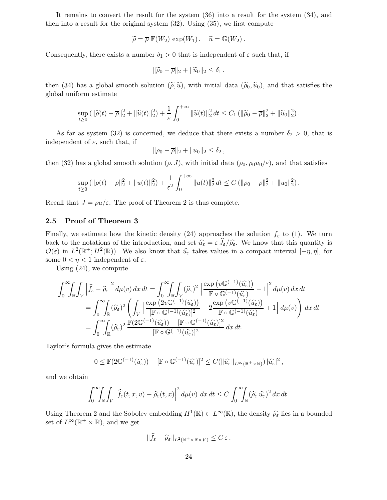It remains to convert the result for the system (36) into a result for the system (34), and then into a result for the original system (32). Using (35), we first compute

$$
\widetilde{\rho} = \overline{\rho} \mathbb{F}(W_2) \exp(W_1), \quad \widetilde{u} = \mathbb{G}(W_2).
$$

Consequently, there exists a number  $\delta_1 > 0$  that is independent of  $\varepsilon$  such that, if

$$
\|\widetilde{\rho}_0-\overline{\rho}\|_2+\|\widetilde{u}_0\|_2\leq \delta_1\,,
$$

then (34) has a global smooth solution  $(\tilde{\rho}, \tilde{u})$ , with initial data  $(\tilde{\rho}_0, \tilde{u}_0)$ , and that satisfies the global uniform estimate

$$
\sup_{t\geq 0} (\|\widetilde{\rho}(t)-\overline{\rho}\|_2^2 + \|\widetilde{u}(t)\|_2^2) + \frac{1}{\varepsilon} \int_0^{+\infty} \|\widetilde{u}(t)\|_2^2 dt \leq C_1 (\|\widetilde{\rho}_0-\overline{\rho}\|_2^2 + \|\widetilde{u}_0\|_2^2).
$$

As far as system (32) is concerned, we deduce that there exists a number  $\delta_2 > 0$ , that is independent of  $\varepsilon$ , such that, if

$$
\|\rho_0 - \overline{\rho}\|_2 + \|u_0\|_2 \le \delta_2,
$$

then (32) has a global smooth solution  $(\rho, J)$ , with initial data  $(\rho_0, \rho_0 u_0/\varepsilon)$ , and that satisfies

$$
\sup_{t\geq 0} (\|\rho(t)-\overline{\rho}\|_2^2 + \|u(t)\|_2^2) + \frac{1}{\varepsilon^2} \int_0^{+\infty} \|u(t)\|_2^2 dt \leq C (\|\rho_0-\overline{\rho}\|_2^2 + \|u_0\|_2^2).
$$

Recall that  $J = \rho u/\varepsilon$ . The proof of Theorem 2 is thus complete.

### 2.5 Proof of Theorem 3

Finally, we estimate how the kinetic density (24) approaches the solution  $f_{\varepsilon}$  to (1). We turn back to the notations of the introduction, and set  $\hat{u}_{\varepsilon} = \varepsilon \hat{J}_{\varepsilon}/\hat{\rho}_{\varepsilon}$ . We know that this quantity is  $\mathcal{O}(\varepsilon)$  in  $L^2(\mathbb{R}^+; H^2(\mathbb{R}))$ . We also know that  $\widehat{u}_{\varepsilon}$  takes values in a compact interval  $[-\eta, \eta]$ , for some  $0 < \eta < 1$  independent of  $\varepsilon$ .

Using (24), we compute

$$
\int_0^\infty \int_{\mathbb{R}} \int_V \left| \hat{f}_{\varepsilon} - \hat{\rho}_{\varepsilon} \right|^2 d\mu(v) \, dx \, dt = \int_0^\infty \int_{\mathbb{R}} \int_V (\hat{\rho}_{\varepsilon})^2 \left| \frac{\exp(v \mathbb{G}^{(-1)}(\hat{u}_{\varepsilon}))}{\mathbb{F} \circ \mathbb{G}^{(-1)}(\hat{u}_{\varepsilon})} - 1 \right|^2 d\mu(v) \, dx \, dt
$$
\n
$$
= \int_0^\infty \int_{\mathbb{R}} (\hat{\rho}_{\varepsilon})^2 \left( \int_V \left[ \frac{\exp(2v \mathbb{G}^{(-1)}(\hat{u}_{\varepsilon}))}{\mathbb{F} \circ \mathbb{G}^{(-1)}(\hat{u}_{\varepsilon})} - 2 \frac{\exp(v \mathbb{G}^{(-1)}(\hat{u}_{\varepsilon}))}{\mathbb{F} \circ \mathbb{G}^{(-1)}(\hat{u}_{\varepsilon})} + 1 \right] d\mu(v) \right) dx \, dt
$$
\n
$$
= \int_0^\infty \int_{\mathbb{R}} (\hat{\rho}_{\varepsilon})^2 \frac{\mathbb{F}(2\mathbb{G}^{(-1)}(\hat{u}_{\varepsilon})) - [\mathbb{F} \circ \mathbb{G}^{(-1)}(\hat{u}_{\varepsilon})]^2}{[\mathbb{F} \circ \mathbb{G}^{(-1)}(\hat{u}_{\varepsilon})]^2} dx \, dt.
$$

Taylor's formula gives the estimate

$$
0 \leq \mathbb{F}(2\mathbb{G}^{(-1)}(\widehat{u_{\varepsilon}})) - [\mathbb{F} \circ \mathbb{G}^{(-1)}(\widehat{u_{\varepsilon}})]^2 \leq C(\|\widehat{u_{\varepsilon}}\|_{L^{\infty}(\mathbb{R}^+\times\mathbb{R})})\|\widehat{u_{\varepsilon}}\|^2,
$$

and we obtain

$$
\int_0^\infty \!\!\int_{\mathbb{R}} \!\!\int_V \left| \widehat{f}_{\varepsilon}(t,x,v) - \widehat{\rho}_{\varepsilon}(t,x) \right|^2 d\mu(v) \, dx \, dt \leq C \int_0^\infty \!\!\int_{\mathbb{R}} (\widehat{\rho}_{\varepsilon} \,\widehat{u_{\varepsilon}})^2 \, dx \, dt \, .
$$

Using Theorem 2 and the Sobolev embedding  $H^1(\mathbb{R}) \subset L^{\infty}(\mathbb{R})$ , the density  $\widehat{\rho}_{\varepsilon}$  lies in a bounded set of  $L^{\infty}(\mathbb{R}^+ \times \mathbb{R})$ , and we get

$$
\|\widehat{f}_{\varepsilon}-\widehat{\rho}_{\varepsilon}\|_{L^2(\mathbb{R}^+\times\mathbb{R}\times V)}\leq C\,\varepsilon\,.
$$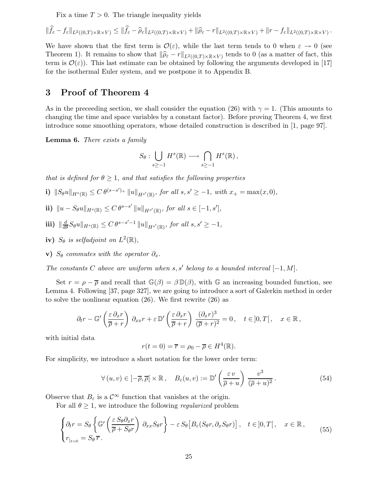Fix a time  $T > 0$ . The triangle inequality yields

$$
\|\widehat{f}_{\varepsilon} - f_{\varepsilon}\|_{L^{2}((0,T)\times\mathbb{R}\times V)} \leq \|\widehat{f}_{\varepsilon} - \widehat{\rho}_{\varepsilon}\|_{L^{2}((0,T)\times\mathbb{R}\times V)} + \|\widehat{\rho}_{\varepsilon} - r\|_{L^{2}((0,T)\times\mathbb{R}\times V)} + \|r - f_{\varepsilon}\|_{L^{2}((0,T)\times\mathbb{R}\times V)}
$$

.

We have shown that the first term is  $\mathcal{O}(\varepsilon)$ , while the last term tends to 0 when  $\varepsilon \to 0$  (see Theorem 1). It remains to show that  $\|\widehat{\rho}_{\varepsilon} - r\|_{L^2((0,T)\times\mathbb{R}\times V)}$  tends to 0 (as a matter of fact, this term is  $\mathcal{O}(\varepsilon)$ . This last estimate can be obtained by following the arguments developed in [17] for the isothermal Euler system, and we postpone it to Appendix B.

### 3 Proof of Theorem 4

As in the preceeding section, we shall consider the equation (26) with  $\gamma = 1$ . (This amounts to changing the time and space variables by a constant factor). Before proving Theorem 4, we first introduce some smoothing operators, whose detailed construction is described in [1, page 97].

Lemma 6. There exists a family

$$
S_{\theta}: \bigcup_{s\geq -1} H^s(\mathbb{R}) \longrightarrow \bigcap_{s\geq -1} H^s(\mathbb{R}),
$$

that is defined for  $\theta \geq 1$ , and that satisfies the following properties

- i)  $||S_{\theta}u||_{H^{s}(\mathbb{R})} \leq C \theta^{(s-s')_{+}} ||u||_{H^{s'}(\mathbb{R})}$ , for all  $s, s' \geq -1$ , with  $x_{+} = \max(x, 0)$ ,
- ii)  $\|u S_{\theta}u\|_{H^{s}(\mathbb{R})} \leq C \theta^{s-s'} \|u\|_{H^{s'}(\mathbb{R})}$ , for all  $s \in [-1, s'],$
- iii)  $\|\frac{d}{d\theta}S_{\theta}u\|_{H^{s}(\mathbb{R})}\leq C\theta^{s-s'-1}\|u\|_{H^{s'}(\mathbb{R})}$ , for all  $s,s'\geq -1$ ,
- iv)  $S_{\theta}$  is selfadjoint on  $L^2(\mathbb{R}),$
- v)  $S_{\theta}$  commutes with the operator  $\partial_x$ .

The constants  $C$  above are uniform when  $s, s'$  belong to a bounded interval  $[-1, M]$ .

Set  $r = \rho - \overline{\rho}$  and recall that  $\mathbb{G}(\beta) = \beta \mathbb{D}(\beta)$ , with G an increasing bounded function, see Lemma 4. Following [37, page 327], we are going to introduce a sort of Galerkin method in order to solve the nonlinear equation (26). We first rewrite (26) as

$$
\partial_t r - \mathbb{G}'\left(\frac{\varepsilon \,\partial_x r}{\overline{\rho} + r}\right) \,\partial_{xx} r + \varepsilon \,\mathbb{D}'\left(\frac{\varepsilon \,\partial_x r}{\overline{\rho} + r}\right) \,\frac{(\partial_x r)^3}{(\overline{\rho} + r)^2} = 0, \quad t \in ]0, T[, \quad x \in \mathbb{R},
$$

with initial data

$$
r(t=0) = \overline{r} = \rho_0 - \overline{\rho} \in H^4(\mathbb{R}).
$$

For simplicity, we introduce a short notation for the lower order term:

$$
\forall (u, v) \in ]-\overline{\rho}, \overline{\rho}[\times \mathbb{R}, \quad B_{\varepsilon}(u, v) := \mathbb{D}'\left(\frac{\varepsilon v}{\overline{\rho} + u}\right) \frac{v^3}{(\overline{\rho} + u)^2}.
$$
 (54)

Observe that  $B_{\varepsilon}$  is a  $\mathcal{C}^{\infty}$  function that vanishes at the origin.

For all  $\theta \geq 1$ , we introduce the following *regularized* problem

$$
\begin{cases} \partial_t r = S_{\theta} \left\{ \mathbb{G}' \left( \frac{\varepsilon S_{\theta} \partial_x r}{\overline{\rho} + S_{\theta} r} \right) \partial_{xx} S_{\theta} r \right\} - \varepsilon S_{\theta} \left[ B_{\varepsilon} (S_{\theta} r, \partial_x S_{\theta} r) \right], \quad t \in ]0, T[, \quad x \in \mathbb{R}, \\ r_{|t=0} = S_{\theta} \overline{r}. \end{cases}
$$
(55)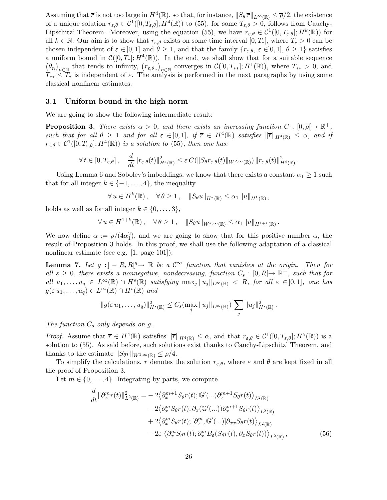Assuming that  $\bar{r}$  is not too large in  $H^4(\mathbb{R})$ , so that, for instance,  $||S_{\theta} \bar{r}||_{L^{\infty}(\mathbb{R})} \leq \bar{\rho}/2$ , the existence of a unique solution  $r_{\varepsilon,\theta} \in C^1([0,T_{\varepsilon,\theta}];H^4(\mathbb{R}))$  to (55), for some  $T_{\varepsilon,\theta} > 0$ , follows from Cauchy-Lipschitz' Theorem. Moreover, using the equation (55), we have  $r_{\varepsilon,\theta} \in C^1([0,T_{\varepsilon,\theta}];H^k(\mathbb{R}))$  for all  $k \in \mathbb{N}$ . Our aim is to show that  $r_{\varepsilon,\theta}$  exists on some time interval  $[0,T_*]$ , where  $T_* > 0$  can be chosen independent of  $\varepsilon \in [0,1]$  and  $\theta \geq 1$ , and that the family  $\{r_{\varepsilon,\theta}, \varepsilon \in [0,1], \theta \geq 1\}$  satisfies a uniform bound in  $\mathcal{C}([0,T_*];H^4(\mathbb{R}))$ . In the end, we shall show that for a suitable sequence  $(\theta_n)_{n\in\mathbb{N}}$  that tends to infinity,  $(r_{\varepsilon,\theta_n})_{n\in\mathbb{N}}$  converges in  $\mathcal{C}([0,T_{**}];H^1(\mathbb{R}))$ , where  $T_{**}>0$ , and  $T_{**} \leq T_*$  is independent of  $\varepsilon$ . The analysis is performed in the next paragraphs by using some classical nonlinear estimates.

#### 3.1 Uniform bound in the high norm

We are going to show the following intermediate result:

**Proposition 3.** There exists  $\alpha > 0$ , and there exists an increasing function  $C : [0, \overline{\rho}] \to \mathbb{R}^+$ , such that for all  $\theta \geq 1$  and for all  $\varepsilon \in ]0,1]$ , if  $\overline{r} \in H^4(\mathbb{R})$  satisfies  $\|\overline{r}\|_{H^4(\mathbb{R})} \leq \alpha$ , and if  $r_{\varepsilon,\theta} \in \mathcal{C}^1([0,T_{\varepsilon,\theta}];H^4(\mathbb{R}))$  is a solution to (55), then one has:

$$
\forall t \in [0, T_{\varepsilon, \theta}], \quad \frac{d}{dt} \|r_{\varepsilon, \theta}(t)\|_{H^4(\mathbb{R})}^2 \leq \varepsilon C(||S_{\theta} r_{\varepsilon, \theta}(t)||_{W^{2,\infty}(\mathbb{R})}) \|r_{\varepsilon, \theta}(t)\|_{H^4(\mathbb{R})}^2.
$$

Using Lemma 6 and Sobolev's imbeddings, we know that there exists a constant  $\alpha_1 \geq 1$  such that for all integer  $k \in \{-1, \ldots, 4\}$ , the inequality

$$
\forall u \in H^k(\mathbb{R}), \quad \forall \theta \ge 1, \quad ||S_{\theta}u||_{H^k(\mathbb{R})} \le \alpha_1 ||u||_{H^k(\mathbb{R})},
$$

holds as well as for all integer  $k \in \{0, \ldots, 3\},\$ 

$$
\forall u \in H^{1+k}(\mathbb{R}), \quad \forall \theta \ge 1, \quad ||S_{\theta}u||_{W^{k,\infty}(\mathbb{R})} \le \alpha_1 ||u||_{H^{1+k}(\mathbb{R})}.
$$

We now define  $\alpha := \overline{\rho}/(4\alpha_1^2)$ , and we are going to show that for this positive number  $\alpha$ , the result of Proposition 3 holds. In this proof, we shall use the following adaptation of a classical nonlinear estimate (see e.g. [1, page 101]):

**Lemma 7.** Let  $g: ] - R, R[$ <sup>q</sup>  $\rightarrow \mathbb{R}$  be a  $\mathcal{C}^{\infty}$  function that vanishes at the origin. Then for all  $s \geq 0$ , there exists a nonnegative, nondecreasing, function  $C_s : [0, R] \to \mathbb{R}^+$ , such that for all  $u_1, \ldots, u_q \in L^{\infty}(\mathbb{R}) \cap H^s(\mathbb{R})$  satisfying  $\max_j ||u_j||_{L^{\infty}(\mathbb{R})} < R$ , for all  $\varepsilon \in ]0,1]$ , one has  $g(\varepsilon u_1,\ldots,u_q)\in L^\infty(\mathbb{R})\cap H^s(\mathbb{R})$  and

$$
||g(\varepsilon u_1,\ldots,u_q)||_{H^s(\mathbb{R})}^2 \leq C_s(\max_j ||u_j||_{L^{\infty}(\mathbb{R})}) \sum_j ||u_j||_{H^s(\mathbb{R})}^2.
$$

The function  $C_s$  only depends on g.

*Proof.* Assume that  $\overline{r} \in H^4(\mathbb{R})$  satisfies  $\|\overline{r}\|_{H^4(\mathbb{R})} \leq \alpha$ , and that  $r_{\varepsilon,\theta} \in C^1([0,T_{\varepsilon,\theta}];H^5(\mathbb{R}))$  is a solution to (55). As said before, such solutions exist thanks to Cauchy-Lipschitz' Theorem, and thanks to the estimate  $||S_{\theta}\overline{r}||_{W^{1,\infty}(\mathbb{R})} \leq \overline{\rho}/4.$ 

To simplify the calculations, r denotes the solution  $r_{\varepsilon,\theta}$ , where  $\varepsilon$  and  $\theta$  are kept fixed in all the proof of Proposition 3.

Let  $m \in \{0, \ldots, 4\}$ . Integrating by parts, we compute

$$
\frac{d}{dt} \|\partial_x^m r(t)\|_{L^2(\mathbb{R})}^2 = -2 \langle \partial_x^{m+1} S_{\theta} r(t); \mathbb{G}'(\ldots) \partial_x^{m+1} S_{\theta} r(t) \rangle_{L^2(\mathbb{R})} \n- 2 \langle \partial_x^m S_{\theta} r(t); \partial_x (\mathbb{G}'(\ldots)) \partial_x^{m+1} S_{\theta} r(t) \rangle_{L^2(\mathbb{R})} \n+ 2 \langle \partial_x^m S_{\theta} r(t); [\partial_x^m, \mathbb{G}'(\ldots)] \partial_{xx} S_{\theta} r(t) \rangle_{L^2(\mathbb{R})} \n- 2\varepsilon \langle \partial_x^m S_{\theta} r(t); \partial_x^m B_{\varepsilon} (S_{\theta} r(t), \partial_x S_{\theta} r(t)) \rangle_{L^2(\mathbb{R})},
$$
\n(56)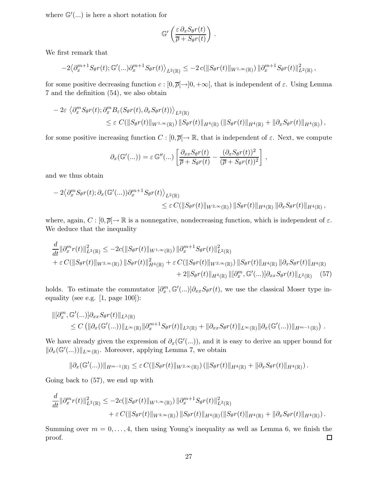where  $\mathbb{G}'(...)$  is here a short notation for

$$
\mathbb{G}'\left(\frac{\varepsilon \,\partial_x S_{\theta} r(t)}{\overline{\rho} + S_{\theta} r(t)}\right)
$$

.

We first remark that

$$
-2\left\langle \partial_x^{m+1} S_{\theta}r(t); \mathbb{G}'(\ldots) \partial_x^{m+1} S_{\theta}r(t) \right\rangle_{L^2(\mathbb{R})} \leq -2 c(||S_{\theta}r(t)||_{W^{1,\infty}(\mathbb{R})}) ||\partial_x^{m+1} S_{\theta}r(t)||_{L^2(\mathbb{R})}^2,
$$

for some positive decreasing function  $c : [0, \overline{\rho}[\rightarrow]0, +\infty[$ , that is independent of  $\varepsilon$ . Using Lemma 7 and the definition (54), we also obtain

$$
- 2\varepsilon \langle \partial_x^m S_{\theta} r(t) ; \partial_x^m B_{\varepsilon} (S_{\theta} r(t), \partial_x S_{\theta} r(t)) \rangle_{L^2(\mathbb{R})}
$$
  

$$
\leq \varepsilon C(||S_{\theta} r(t)||_{W^{1,\infty}(\mathbb{R})}) ||S_{\theta} r(t)||_{H^4(\mathbb{R})} (||S_{\theta} r(t)||_{H^4(\mathbb{R})} + ||\partial_x S_{\theta} r(t)||_{H^4(\mathbb{R})}),
$$

for some positive increasing function  $C : [0, \overline{\rho}] \to \mathbb{R}$ , that is independent of  $\varepsilon$ . Next, we compute

$$
\partial_x(\mathbb{G}'(...)) = \varepsilon \mathbb{G}''(...) \left[ \frac{\partial_{xx} S_{\theta}r(t)}{\overline{\rho} + S_{\theta}r(t)} - \frac{(\partial_x S_{\theta}r(t))^2}{(\overline{\rho} + S_{\theta}r(t))^2} \right],
$$

and we thus obtain

$$
- 2 \langle \partial_x^m S_{\theta} r(t) ; \partial_x (\mathbb{G}'(...)) \partial_x^{m+1} S_{\theta} r(t) \rangle_{L^2(\mathbb{R})}
$$
  

$$
\leq \varepsilon C(||S_{\theta} r(t)||_{W^{2,\infty}(\mathbb{R})}) ||S_{\theta} r(t)||_{H^4(\mathbb{R})} ||\partial_x S_{\theta} r(t)||_{H^4(\mathbb{R})},
$$

where, again,  $C : [0, \overline{\rho}] \to \mathbb{R}$  is a nonnegative, nondecreasing function, which is independent of  $\varepsilon$ . We deduce that the inequality

$$
\frac{d}{dt} \|\partial_x^m r(t)\|_{L^2(\mathbb{R})}^2 \leq -2c(\|S_{\theta}r(t)\|_{W^{1,\infty}(\mathbb{R})}) \|\partial_x^{m+1} S_{\theta}r(t)\|_{L^2(\mathbb{R})}^2 \n+ \varepsilon C(\|S_{\theta}r(t)\|_{W^{2,\infty}(\mathbb{R})}) \|\overline{S}_{\theta}r(t)\|_{H^4(\mathbb{R})}^2 + \varepsilon C(\|S_{\theta}r(t)\|_{W^{2,\infty}(\mathbb{R})}) \|\overline{S}_{\theta}r(t)\|_{H^4(\mathbb{R})} \|\partial_x S_{\theta}r(t)\|_{H^4(\mathbb{R})} \n+ 2\|S_{\theta}r(t)\|_{H^4(\mathbb{R})} \|\overline{\partial}_x^m, \mathbb{G}'(\ldots)\overline{\partial}_{xx} S_{\theta}r(t)\|_{L^2(\mathbb{R})} \tag{57}
$$

holds. To estimate the commutator  $[\partial_x^m, \mathbb{G}(\ldots)]\partial_{xx}S_{\theta}r(t)$ , we use the classical Moser type inequality (see e.g. [1, page 100]):

$$
\begin{aligned}\n\|[\partial_x^m, \mathbb{G}'(\ldots)]\partial_{xx}S_{\theta}r(t)\|_{L^2(\mathbb{R})} \\
&\leq C\left(\|\partial_x(\mathbb{G}'(\ldots))\|_{L^{\infty}(\mathbb{R})}\|\partial_x^{m+1}S_{\theta}r(t)\|_{L^2(\mathbb{R})}+\|\partial_{xx}S_{\theta}r(t)\|_{L^{\infty}(\mathbb{R})}\|\partial_x(\mathbb{G}'(\ldots))\|_{H^{m-1}(\mathbb{R})}\right).\n\end{aligned}
$$

We have already given the expression of  $\partial_x(\mathbb{G}(\ldots))$ , and it is easy to derive an upper bound for  $\|\partial_x(\mathbb{G}'(\ldots))\|_{L^\infty(\mathbb{R})}$  . Moreover, applying Lemma 7, we obtain

$$
\|\partial_x(\mathbb{G}'(...))\|_{H^{m-1}(\mathbb{R})}\leq \varepsilon C(\|S_{\theta}r(t)\|_{W^{2,\infty}(\mathbb{R})})\left(\|S_{\theta}r(t)\|_{H^4(\mathbb{R})}+\|\partial_xS_{\theta}r(t)\|_{H^4(\mathbb{R})}\right).
$$

Going back to (57), we end up with

$$
\frac{d}{dt} \|\partial_x^m r(t)\|_{L^2(\mathbb{R})}^2 \leq -2c(\|S_{\theta}r(t)\|_{W^{1,\infty}(\mathbb{R})}) \|\partial_x^{m+1} S_{\theta}r(t)\|_{L^2(\mathbb{R})}^2 + \varepsilon C(\|S_{\theta}r(t)\|_{W^{2,\infty}(\mathbb{R})}) \, \|S_{\theta}r(t)\|_{H^4(\mathbb{R})} (\|S_{\theta}r(t)\|_{H^4(\mathbb{R})} + \|\partial_x S_{\theta}r(t)\|_{H^4(\mathbb{R})}).
$$

Summing over  $m = 0, \ldots, 4$ , then using Young's inequality as well as Lemma 6, we finish the proof.  $\Box$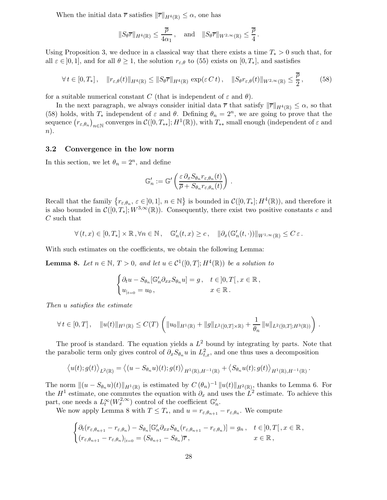When the initial data  $\bar{r}$  satisfies  $\|\bar{r}\|_{H^4(\mathbb{R})} \leq \alpha$ , one has

$$
||S_{\theta}\overline{r}||_{H^{4}(\mathbb{R})} \leq \frac{\overline{\rho}}{4\alpha_{1}}, \text{ and } ||S_{\theta}\overline{r}||_{W^{2,\infty}(\mathbb{R})} \leq \frac{\overline{\rho}}{4}.
$$

Using Proposition 3, we deduce in a classical way that there exists a time  $T_* > 0$  such that, for all  $\varepsilon \in [0,1]$ , and for all  $\theta \geq 1$ , the solution  $r_{\varepsilon,\theta}$  to (55) exists on  $[0,T_*]$ , and sastisfies

$$
\forall t \in [0, T_*], \quad \|r_{\varepsilon,\theta}(t)\|_{H^4(\mathbb{R})} \le \|S_\theta \overline{r}\|_{H^4(\mathbb{R})} \exp(\varepsilon C t), \quad \|S_\theta r_{\varepsilon,\theta}(t)\|_{W^{2,\infty}(\mathbb{R})} \le \frac{\overline{\rho}}{2}, \tag{58}
$$

for a suitable numerical constant C (that is independent of  $\varepsilon$  and  $\theta$ ).

In the next paragraph, we always consider initial data  $\bar{r}$  that satisfy  $\|\bar{r}\|_{H^4(\mathbb{R})} \leq \alpha$ , so that (58) holds, with  $T_*$  independent of  $\varepsilon$  and  $\theta$ . Defining  $\theta_n = 2^n$ , we are going to prove that the sequence  $(r_{\varepsilon,\theta_n})_{n\in\mathbb{N}}$  converges in  $\mathcal{C}([0,T_{**}];H^1(\mathbb{R}))$ , with  $T_{**}$  small enough (independent of  $\varepsilon$  and  $n$ ).

### 3.2 Convergence in the low norm

In this section, we let  $\theta_n = 2^n$ , and define

$$
\mathbb{G}'_n := \mathbb{G}'\left(\frac{\varepsilon \,\partial_x S_{\theta_n} r_{\varepsilon,\theta_n}(t)}{\overline{\rho} + S_{\theta_n} r_{\varepsilon,\theta_n}(t)}\right) \,.
$$

Recall that the family  $\{r_{\varepsilon,\theta_n}, \varepsilon \in ]0,1], n \in \mathbb{N}\}\$ is bounded in  $\mathcal{C}([0,T_*];H^4(\mathbb{R}))$ , and therefore it is also bounded in  $\mathcal{C}([0,T_*];W^{3,\infty}(\mathbb{R}))$ . Consequently, there exist two positive constants c and C such that

$$
\forall \left(t, x\right) \in \left[0, T_*\right] \times \mathbb{R}, \forall n \in \mathbb{N}\,, \quad \mathbb{G}'_n(t, x) \geq c\,, \quad \|\partial_x(\mathbb{G}'_n(t, \cdot))\|_{W^{1,\infty}(\mathbb{R})} \leq C\,\varepsilon\,.
$$

With such estimates on the coefficients, we obtain the following Lemma:

**Lemma 8.** Let  $n \in \mathbb{N}$ ,  $T > 0$ , and let  $u \in C^1([0, T]; H^4(\mathbb{R}))$  be a solution to

$$
\begin{cases} \partial_t u - S_{\theta_n}[\mathbb{G}_n' \partial_{xx} S_{\theta_n} u] = g \,, & t \in ]0,T[ \,, x \in \mathbb{R} \,, \\ u_{|_{t=0}} = u_0 \,, & x \in \mathbb{R} \,. \end{cases}
$$

Then u satisfies the estimate

$$
\forall t \in [0,T], \quad \|u(t)\|_{H^1(\mathbb{R})} \leq C(T) \left( \|u_0\|_{H^1(\mathbb{R})} + \|g\|_{L^2([0,T] \times \mathbb{R})} + \frac{1}{\theta_n} \|u\|_{L^2([0,T];H^3(\mathbb{R}))} \right).
$$

The proof is standard. The equation yields a  $L^2$  bound by integrating by parts. Note that the parabolic term only gives control of  $\partial_x S_{\theta_n} u$  in  $L^2_{t,x}$ , and one thus uses a decomposition

$$
\langle u(t);g(t)\rangle_{L^2(\mathbb{R})} = \langle (u-S_{\theta_n}u)(t);g(t)\rangle_{H^1(\mathbb{R}),H^{-1}(\mathbb{R})} + \langle S_{\theta_n}u(t);g(t)\rangle_{H^1(\mathbb{R}),H^{-1}(\mathbb{R})}
$$

.

The norm  $||(u - S_{\theta_n}u)(t)||_{H^1(\mathbb{R})}$  is estimated by  $C(\theta_n)^{-1} ||u(t)||_{H^2(\mathbb{R})}$ , thanks to Lemma 6. For the  $H^1$  estimate, one commutes the equation with  $\partial_x$  and uses the  $L^2$  estimate. To achieve this part, one needs a  $L_t^{\infty}(W_x^{2,\infty})$  control of the coefficient  $\mathbb{G}_n'$ .

We now apply Lemma 8 with  $T \leq T_*$ , and  $u = r_{\varepsilon,\theta_{n+1}} - r_{\varepsilon,\theta_n}$ . We compute

$$
\begin{cases} \partial_t (r_{\varepsilon,\theta_{n+1}} - r_{\varepsilon,\theta_n}) - S_{\theta_n} [\mathbb{G}'_n \partial_{xx} S_{\theta_n} (r_{\varepsilon,\theta_{n+1}} - r_{\varepsilon,\theta_n})] = g_n, & t \in ]0,T[, x \in \mathbb{R}, \\ (r_{\varepsilon,\theta_{n+1}} - r_{\varepsilon,\theta_n})_{|_{t=0}} = (S_{\theta_{n+1}} - S_{\theta_n})\overline{r}, & x \in \mathbb{R}, \end{cases}
$$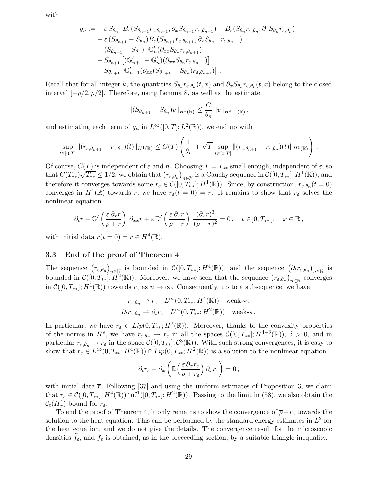with

$$
g_n := -\varepsilon S_{\theta_n} \left[ B_{\varepsilon} (S_{\theta_{n+1}} r_{\varepsilon, \theta_{n+1}}, \partial_x S_{\theta_{n+1}} r_{\varepsilon, \theta_{n+1}}) - B_{\varepsilon} (S_{\theta_n} r_{\varepsilon, \theta_n}, \partial_x S_{\theta_n} r_{\varepsilon, \theta_n}) \right]
$$
  
\n
$$
- \varepsilon (S_{\theta_{n+1}} - S_{\theta_n}) B_{\varepsilon} (S_{\theta_{n+1}} r_{\varepsilon, \theta_{n+1}}, \partial_x S_{\theta_{n+1}} r_{\varepsilon, \theta_{n+1}})
$$
  
\n
$$
+ (S_{\theta_{n+1}} - S_{\theta_n}) \left[ \mathbb{G}'_n (\partial_x S_{\theta_n} r_{\varepsilon, \theta_{n+1}}) \right]
$$
  
\n
$$
+ S_{\theta_{n+1}} \left[ (\mathbb{G}'_{n+1} - \mathbb{G}'_n) (\partial_x S_{\theta_n} r_{\varepsilon, \theta_{n+1}}) \right]
$$
  
\n
$$
+ S_{\theta_{n+1}} \left[ \mathbb{G}'_{n+1} (\partial_x (S_{\theta_{n+1}} - S_{\theta_n}) r_{\varepsilon, \theta_{n+1}}) \right].
$$

Recall that for all integer k, the quantities  $S_{\theta_k} r_{\varepsilon,\theta_k}(t,x)$  and  $\partial_x S_{\theta_k} r_{\varepsilon,\theta_k}(t,x)$  belong to the closed interval  $[-\overline{\rho}/2, \overline{\rho}/2]$ . Therefore, using Lemma 8, as well as the estimate

$$
||(S_{\theta_{n+1}} - S_{\theta_n})v||_{H^s(\mathbb{R})} \leq \frac{C}{\theta_n} ||v||_{H^{s+1}(\mathbb{R})},
$$

and estimating each term of  $g_n$  in  $L^{\infty}([0,T]; L^2(\mathbb{R}))$ , we end up with

$$
\sup_{t\in[0,T]}\|(r_{\varepsilon,\theta_{n+1}}-r_{\varepsilon,\theta_n})(t)\|_{H^1(\mathbb{R})}\leq C(T)\left(\frac{1}{\theta_n}+\sqrt{T}\sup_{t\in[0,T]}\|(r_{\varepsilon,\theta_{n+1}}-r_{\varepsilon,\theta_n})(t)\|_{H^1(\mathbb{R})}\right).
$$

Of course,  $C(T)$  is independent of  $\varepsilon$  and n. Choosing  $T = T_{**}$  small enough, independent of  $\varepsilon$ , so that  $C(T_{**})\sqrt{T_{**}} \leq 1/2$ , we obtain that  $(r_{\varepsilon,\theta_n})_{n\in\mathbb{N}}$  is a Cauchy sequence in  $\mathcal{C}([0,T_{**}];H^1(\mathbb{R}))$ , and therefore it converges towards some  $r_{\varepsilon} \in \mathcal{C}([0, T_{**}]; H^1(\mathbb{R}))$ . Since, by construction,  $r_{\varepsilon,\theta_n}(t=0)$ converges in  $H^1(\mathbb{R})$  towards  $\overline{r}$ , we have  $r_{\varepsilon}(t=0)=\overline{r}$ . It remains to show that  $r_{\varepsilon}$  solves the nonlinear equation

$$
\partial_t r - \mathbb{G}'\left(\frac{\varepsilon \,\partial_x r}{\overline{\rho} + r}\right) \,\partial_{xx} r + \varepsilon \,\mathbb{D}'\left(\frac{\varepsilon \,\partial_x r}{\overline{\rho} + r}\right) \,\frac{(\partial_x r)^3}{(\overline{\rho} + r)^2} = 0 \,, \quad t \in ]0, T_{**}[ \,, \quad x \in \mathbb{R} \,,
$$

with initial data  $r(t = 0) = \overline{r} \in H^4(\mathbb{R})$ .

### 3.3 End of the proof of Theorem 4

The sequence  $(r_{\varepsilon,\theta_n})_{n\in\mathbb{N}}$  is bounded in  $\mathcal{C}([0,T_{**}];H^4(\mathbb{R}))$ , and the sequence  $(\partial_t r_{\varepsilon,\theta_n})_{n\in\mathbb{N}}$  is bounded in  $\mathcal{C}([0,T_{**}];H^2(\mathbb{R}))$ . Moreover, we have seen that the sequence  $(r_{\varepsilon,\theta_n})_{n\in\mathbb{N}}$  converges in  $C([0,T_{**}];H^1(\mathbb{R}))$  towards  $r_{\varepsilon}$  as  $n \to \infty$ . Consequently, up to a subsequence, we have

$$
r_{\varepsilon,\theta_n} \rightharpoonup r_{\varepsilon} L^{\infty}(0,T_{**};H^4(\mathbb{R})) \quad \text{weak-}\star,
$$
  

$$
\partial_t r_{\varepsilon,\theta_n} \rightharpoonup \partial_t r_{\varepsilon} L^{\infty}(0,T_{**};H^2(\mathbb{R})) \quad \text{weak-}\star.
$$

In particular, we have  $r_{\varepsilon} \in Lip(0, T_{**}; H^2(\mathbb{R}))$ . Moreover, thanks to the convexity properties of the norms in  $H^s$ , we have  $r_{\varepsilon,\theta_n} \to r_{\varepsilon}$  in all the spaces  $\mathcal{C}([0,T_{**}];H^{4-\delta}(\mathbb{R}))$ ,  $\delta > 0$ , and in particular  $r_{\varepsilon,\theta_n} \to r_{\varepsilon}$  in the space  $\mathcal{C}([0,T_{**}];\mathcal{C}^3(\mathbb{R}))$ . With such strong convergences, it is easy to show that  $r_{\varepsilon} \in L^{\infty}(0,T_{**};H^4(\mathbb{R})) \cap Lip(0,T_{**};H^2(\mathbb{R}))$  is a solution to the nonlinear equation

$$
\partial_t r_{\varepsilon} - \partial_x \left( \mathbb{D} \left( \frac{\varepsilon \, \partial_x r_{\varepsilon}}{\overline{\rho} + r_{\varepsilon}} \right) \partial_x r_{\varepsilon} \right) = 0 \,,
$$

with initial data  $\bar{r}$ . Following [37] and using the uniform estimates of Proposition 3, we claim that  $r_{\varepsilon} \in \mathcal{C}([0,T_{**}];H^4(\mathbb{R})) \cap \mathcal{C}^1([0,T_{**}];H^2(\mathbb{R}))$ . Passing to the limit in (58), we also obtain the  $\mathcal{C}_t(H_x^4)$  bound for  $r_{\varepsilon}$ .

To end the proof of Theorem 4, it only remains to show the convergence of  $\overline{\rho}+r_{\varepsilon}$  towards the solution to the heat equation. This can be performed by the standard energy estimates in  $L^2$  for the heat equation, and we do not give the details. The convergence result for the microscopic densities  $f_{\varepsilon}$ , and  $f_{\varepsilon}$  is obtained, as in the preceeding section, by a suitable triangle inequality.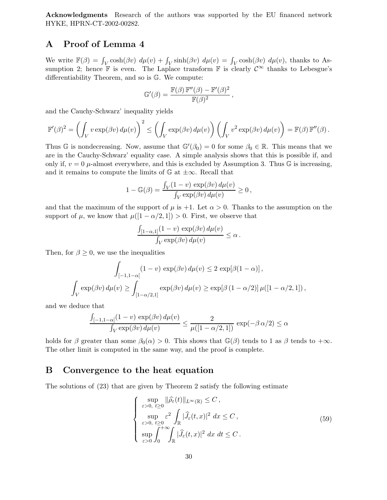Acknowledgments Research of the authors was supported by the EU financed network HYKE, HPRN-CT-2002-00282.

# A Proof of Lemma 4

We write  $\mathbb{F}(\beta) = \int_V \cosh(\beta v) d\mu(v) + \int_V \sinh(\beta v) d\mu(v) = \int_V \cosh(\beta v) d\mu(v)$ , thanks to Assumption 2; hence F is even. The Laplace transform F is clearly  $\mathcal{C}^{\infty}$  thanks to Lebesgue's differentiability Theorem, and so is G. We compute:

$$
\mathbb{G}'(\beta) = \frac{\mathbb{F}(\beta) \mathbb{F}''(\beta) - \mathbb{F}'(\beta)^2}{\mathbb{F}(\beta)^2},
$$

and the Cauchy-Schwarz' inequality yields

$$
\mathbb{F}'(\beta)^2 = \left(\int_V v \exp(\beta v) d\mu(v)\right)^2 \le \left(\int_V \exp(\beta v) d\mu(v)\right) \left(\int_V v^2 \exp(\beta v) d\mu(v)\right) = \mathbb{F}(\beta) \mathbb{F}''(\beta).
$$

Thus G is nondecreasing. Now, assume that  $\mathbb{G}'(\beta_0) = 0$  for some  $\beta_0 \in \mathbb{R}$ . This means that we are in the Cauchy-Schwarz' equality case. A simple analysis shows that this is possible if, and only if,  $v = 0$   $\mu$ -almost everywhere, and this is excluded by Assumption 3. Thus G is increasing, and it remains to compute the limits of  $\mathbb{G}$  at  $\pm \infty$ . Recall that

$$
1 - \mathbb{G}(\beta) = \frac{\int_V (1 - v) \exp(\beta v) d\mu(v)}{\int_V \exp(\beta v) d\mu(v)} \ge 0,
$$

and that the maximum of the support of  $\mu$  is +1. Let  $\alpha > 0$ . Thanks to the assumption on the support of  $\mu$ , we know that  $\mu([1 - \alpha/2, 1]) > 0$ . First, we observe that

$$
\frac{\int_{[1-\alpha,1]}(1-v)\,\exp(\beta v)\,d\mu(v)}{\int_V\exp(\beta v)\,d\mu(v)}\leq\alpha.
$$

Then, for  $\beta \geq 0$ , we use the inequalities

$$
\int_{[-1,1-\alpha[} (1-v) \exp(\beta v) d\mu(v) \le 2 \exp[\beta(1-\alpha)],
$$
  

$$
\int_{V} \exp(\beta v) d\mu(v) \ge \int_{[1-\alpha/2,1]} \exp(\beta v) d\mu(v) \ge \exp[\beta(1-\alpha/2)] \mu([1-\alpha/2,1]),
$$

and we deduce that

$$
\frac{\int_{[-1,1-\alpha[}(1-v)\,\exp(\beta v)\,d\mu(v)}{\int_V\exp(\beta v)\,d\mu(v)}\leq\frac{2}{\mu([1-\alpha/2,1])}\,\exp(-\beta\,\alpha/2)\leq\alpha
$$

holds for  $\beta$  greater than some  $\beta_0(\alpha) > 0$ . This shows that  $\mathbb{G}(\beta)$  tends to 1 as  $\beta$  tends to + $\infty$ . The other limit is computed in the same way, and the proof is complete.

### B Convergence to the heat equation

The solutions of (23) that are given by Theorem 2 satisfy the following estimate

$$
\begin{cases}\n\sup_{\varepsilon>0, t\geq 0} \|\widehat{\rho}_{\varepsilon}(t)\|_{L^{\infty}(\mathbb{R})} \leq C, \\
\sup_{\varepsilon>0, t\geq 0} \varepsilon^{2} \int_{\mathbb{R}} |\widehat{J}_{\varepsilon}(t, x)|^{2} dx \leq C, \\
\sup_{\varepsilon>0} \int_{0}^{+\infty} \int_{\mathbb{R}} |\widehat{J}_{\varepsilon}(t, x)|^{2} dx dt \leq C.\n\end{cases}
$$
\n(59)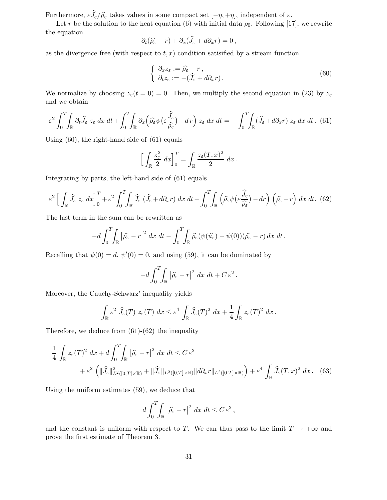Furthermore,  $\varepsilon \widehat{J}_\varepsilon/\widehat{\rho_\varepsilon}$  takes values in some compact set  $[-\eta, +\eta]$ , independent of  $\varepsilon$ .

Let r be the solution to the heat equation (6) with initial data  $\rho_0$ . Following [17], we rewrite the equation

$$
\partial_t(\widehat{\rho_{\varepsilon}}-r)+\partial_x(\widehat{J_{\varepsilon}}+d\partial_x r)=0\,,
$$

as the divergence free (with respect to  $t, x$ ) condition satisfied by a stream function

$$
\begin{cases} \partial_x z_{\varepsilon} := \widehat{\rho}_{\varepsilon} - r, \\ \partial_t z_{\varepsilon} := -(\widehat{J}_{\varepsilon} + d\partial_x r). \end{cases} \tag{60}
$$

We normalize by choosing  $z_{\varepsilon}(t=0) = 0$ . Then, we multiply the second equation in (23) by  $z_{\varepsilon}$ and we obtain

$$
\varepsilon^2 \int_0^T \int_{\mathbb{R}} \partial_t \widehat{J}_{\varepsilon} z_{\varepsilon} dx dt + \int_0^T \int_{\mathbb{R}} \partial_x \left( \widehat{\rho}_{\varepsilon} \psi \left( \varepsilon \frac{\widehat{J}_{\varepsilon}}{\widehat{\rho}_{\varepsilon}} \right) - dr \right) z_{\varepsilon} dx dt = - \int_0^T \int_{\mathbb{R}} (\widehat{J}_{\varepsilon} + d\partial_x r) z_{\varepsilon} dx dt. \tag{61}
$$

Using (60), the right-hand side of (61) equals

$$
\left[\int_{\mathbb{R}} \frac{z_{\varepsilon}^2}{2} dx\right]_0^T = \int_{\mathbb{R}} \frac{z_{\varepsilon}(T, x)^2}{2} dx.
$$

Integrating by parts, the left-hand side of (61) equals

$$
\varepsilon^{2} \left[ \int_{\mathbb{R}} \widehat{J}_{\varepsilon} z_{\varepsilon} dx \right]_{0}^{T} + \varepsilon^{2} \int_{0}^{T} \int_{\mathbb{R}} \widehat{J}_{\varepsilon} \left( \widehat{J}_{\varepsilon} + d\partial_{x} r \right) dx dt - \int_{0}^{T} \int_{\mathbb{R}} \left( \widehat{\rho_{\varepsilon}} \psi \left( \varepsilon \frac{\widehat{J}_{\varepsilon}}{\widehat{\rho_{\varepsilon}}} \right) - dr \right) \left( \widehat{\rho_{\varepsilon}} - r \right) dx dt. \tag{62}
$$

The last term in the sum can be rewritten as

$$
-d\int_0^T\!\!\int_{\mathbb{R}}|\widehat{\rho_{\varepsilon}}-r|^2\;dx\;dt-\int_0^T\!\!\int_{\mathbb{R}}\widehat{\rho_{\varepsilon}}(\psi(\widehat{u_{\varepsilon}})-\psi(0))(\widehat{\rho_{\varepsilon}}-r)\,dx\;dt\,.
$$

Recalling that  $\psi(0) = d, \psi'(0) = 0$ , and using (59), it can be dominated by

$$
-d\int_0^T\!\!\int_{\mathbb{R}}|\widehat{\rho_{\varepsilon}}-r|^2\;dx\;dt+C\,\varepsilon^2\,.
$$

Moreover, the Cauchy-Schwarz' inequality yields

$$
\int_{\mathbb{R}} \varepsilon^2 \, \widehat{J}_{\varepsilon}(T) \, z_{\varepsilon}(T) \, dx \leq \varepsilon^4 \, \int_{\mathbb{R}} \widehat{J}_{\varepsilon}(T)^2 \, dx + \frac{1}{4} \int_{\mathbb{R}} z_{\varepsilon}(T)^2 \, dx \, .
$$

Therefore, we deduce from  $(61)-(62)$  the inequality

$$
\frac{1}{4} \int_{\mathbb{R}} z_{\varepsilon}(T)^2 dx + d \int_0^T \int_{\mathbb{R}} |\widehat{\rho}_{\varepsilon} - r|^2 dx dt \le C \varepsilon^2 \n+ \varepsilon^2 \left( \| \widehat{J}_{\varepsilon} \|_{L^2([0,T] \times \mathbb{R})}^2 + \| \widehat{J}_{\varepsilon} \|_{L^2([0,T] \times \mathbb{R})} \| d \partial_x r \|_{L^2([0,T] \times \mathbb{R})} \right) + \varepsilon^4 \int_{\mathbb{R}} \widehat{J}_{\varepsilon}(T, x)^2 dx. \tag{63}
$$

Using the uniform estimates (59), we deduce that

$$
d\int_0^T\!\!\int_{\mathbb{R}} |\widehat{\rho_{\varepsilon}} - r|^2 \ dx \ dt \leq C \, \varepsilon^2 \,,
$$

and the constant is uniform with respect to T. We can thus pass to the limit  $T \to +\infty$  and prove the first estimate of Theorem 3.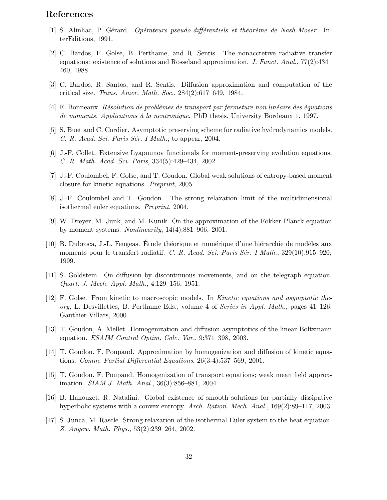# References

- [1] S. Alinhac, P. Gérard. Opérateurs pseudo-différentiels et théorème de Nash-Moser. InterEditions, 1991.
- [2] C. Bardos, F. Golse, B. Perthame, and R. Sentis. The nonaccretive radiative transfer equations: existence of solutions and Rosseland approximation. J. Funct. Anal., 77(2):434– 460, 1988.
- [3] C. Bardos, R. Santos, and R. Sentis. Diffusion approximation and computation of the critical size. Trans. Amer. Math. Soc., 284(2):617–649, 1984.
- $[4]$  E. Bonneaux. Résolution de problèmes de transport par fermeture non linéaire des équations de moments. Applications à la neutronique. PhD thesis, University Bordeaux 1, 1997.
- [5] S. Buet and C. Cordier. Asymptotic preserving scheme for radiative hydrodynamics models. C. R. Acad. Sci. Paris Sér. I Math., to appear, 2004.
- [6] J.-F. Collet. Extensive Lyapounov functionals for moment-preserving evolution equations. C. R. Math. Acad. Sci. Paris, 334(5):429–434, 2002.
- [7] J.-F. Coulombel, F. Golse, and T. Goudon. Global weak solutions of entropy-based moment closure for kinetic equations. Preprint, 2005.
- [8] J.-F. Coulombel and T. Goudon. The strong relaxation limit of the multidimensional isothermal euler equations. Preprint, 2004.
- [9] W. Dreyer, M. Junk, and M. Kunik. On the approximation of the Fokker-Planck equation by moment systems. Nonlinearity, 14(4):881–906, 2001.
- [10] B. Dubroca, J.-L. Feugeas. Etude théorique et numérique d'une hiérarchie de modèles aux moments pour le transfert radiatif. C. R. Acad. Sci. Paris Sér. I Math., 329(10):915–920, 1999.
- [11] S. Goldstein. On diffusion by discontinuous movements, and on the telegraph equation. Quart. J. Mech. Appl. Math., 4:129–156, 1951.
- [12] F. Golse. From kinetic to macroscopic models. In Kinetic equations and asymptotic theory, L. Desvillettes, B. Perthame Eds., volume 4 of Series in Appl. Math., pages 41–126. Gauthier-Villars, 2000.
- [13] T. Goudon, A. Mellet. Homogenization and diffusion asymptotics of the linear Boltzmann equation. ESAIM Control Optim. Calc. Var., 9:371–398, 2003.
- [14] T. Goudon, F. Poupaud. Approximation by homogenization and diffusion of kinetic equations. Comm. Partial Differential Equations, 26(3-4):537–569, 2001.
- [15] T. Goudon, F. Poupaud. Homogenization of transport equations; weak mean field approximation. SIAM J. Math. Anal., 36(3):856–881, 2004.
- [16] B. Hanouzet, R. Natalini. Global existence of smooth solutions for partially dissipative hyperbolic systems with a convex entropy. Arch. Ration. Mech. Anal., 169(2):89–117, 2003.
- [17] S. Junca, M. Rascle. Strong relaxation of the isothermal Euler system to the heat equation. Z. Angew. Math. Phys., 53(2):239–264, 2002.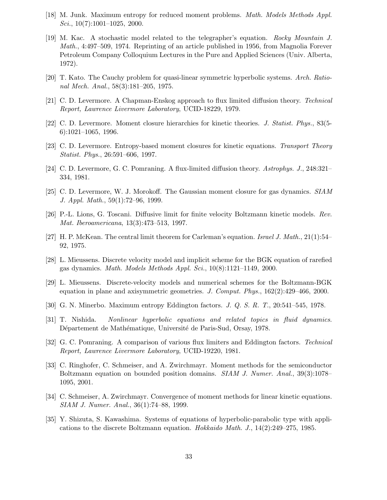- [18] M. Junk. Maximum entropy for reduced moment problems. Math. Models Methods Appl. Sci.,  $10(7):1001-1025$ , 2000.
- [19] M. Kac. A stochastic model related to the telegrapher's equation. Rocky Mountain J. Math., 4:497–509, 1974. Reprinting of an article published in 1956, from Magnolia Forever Petroleum Company Colloquium Lectures in the Pure and Applied Sciences (Univ. Alberta, 1972).
- [20] T. Kato. The Cauchy problem for quasi-linear symmetric hyperbolic systems. Arch. Rational Mech. Anal., 58(3):181–205, 1975.
- [21] C. D. Levermore. A Chapman-Enskog approach to flux limited diffusion theory. Technical Report, Lawrence Livermore Laboratory, UCID-18229, 1979.
- [22] C. D. Levermore. Moment closure hierarchies for kinetic theories. J. Statist. Phys., 83(5- 6):1021–1065, 1996.
- [23] C. D. Levermore. Entropy-based moment closures for kinetic equations. Transport Theory Statist. Phys., 26:591–606, 1997.
- [24] C. D. Levermore, G. C. Pomraning. A flux-limited diffusion theory. Astrophys. J., 248:321– 334, 1981.
- [25] C. D. Levermore, W. J. Morokoff. The Gaussian moment closure for gas dynamics. SIAM J. Appl. Math., 59(1):72–96, 1999.
- [26] P.-L. Lions, G. Toscani. Diffusive limit for finite velocity Boltzmann kinetic models. Rev. Mat. Iberoamericana, 13(3):473–513, 1997.
- [27] H. P. McKean. The central limit theorem for Carleman's equation. Israel J. Math., 21(1):54– 92, 1975.
- [28] L. Mieussens. Discrete velocity model and implicit scheme for the BGK equation of rarefied gas dynamics. Math. Models Methods Appl. Sci., 10(8):1121–1149, 2000.
- [29] L. Mieussens. Discrete-velocity models and numerical schemes for the Boltzmann-BGK equation in plane and axisymmetric geometries. J. Comput. Phys., 162(2):429–466, 2000.
- [30] G. N. Minerbo. Maximum entropy Eddington factors. J. Q. S. R. T., 20:541–545, 1978.
- [31] T. Nishida. Nonlinear hyperbolic equations and related topics in fluid dynamics. Département de Mathématique, Université de Paris-Sud, Orsay, 1978.
- [32] G. C. Pomraning. A comparison of various flux limiters and Eddington factors. Technical Report, Lawrence Livermore Laboratory, UCID-19220, 1981.
- [33] C. Ringhofer, C. Schmeiser, and A. Zwirchmayr. Moment methods for the semiconductor Boltzmann equation on bounded position domains. SIAM J. Numer. Anal., 39(3):1078– 1095, 2001.
- [34] C. Schmeiser, A. Zwirchmayr. Convergence of moment methods for linear kinetic equations. SIAM J. Numer. Anal., 36(1):74–88, 1999.
- [35] Y. Shizuta, S. Kawashima. Systems of equations of hyperbolic-parabolic type with applications to the discrete Boltzmann equation. Hokkaido Math. J., 14(2):249–275, 1985.